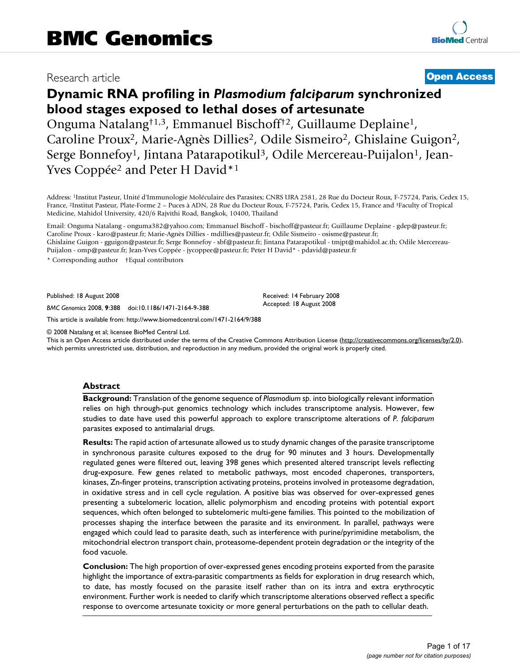# Research article **[Open Access](http://www.biomedcentral.com/info/about/charter/)**

# **Dynamic RNA profiling in** *Plasmodium falciparum* **synchronized blood stages exposed to lethal doses of artesunate**

Onguma Natalang†1,3, Emmanuel Bischoff†2, Guillaume Deplaine1, Caroline Proux<sup>2</sup>, Marie-Agnès Dillies<sup>2</sup>, Odile Sismeiro<sup>2</sup>, Ghislaine Guigon<sup>2</sup>, Serge Bonnefoy<sup>1</sup>, Jintana Patarapotikul<sup>3</sup>, Odile Mercereau-Puijalon<sup>1</sup>, Jean-Yves Coppée<sup>2</sup> and Peter H David<sup>\*1</sup>

Address: 1Institut Pasteur, Unité d'Immunologie Moléculaire des Parasites; CNRS URA 2581, 28 Rue du Docteur Roux, F-75724, Paris, Cedex 15, France, 2Institut Pasteur, Plate-Forme 2 – Puces à ADN, 28 Rue du Docteur Roux, F-75724, Paris, Cedex 15, France and 3Faculty of Tropical Medicine, Mahidol University, 420/6 Rajvithi Road, Bangkok, 10400, Thailand

Email: Onguma Natalang - onguma382@yahoo.com; Emmanuel Bischoff - bischoff@pasteur.fr; Guillaume Deplaine - gdep@pasteur.fr; Caroline Proux - karo@pasteur.fr; Marie-Agnès Dillies - mdillies@pasteur.fr; Odile Sismeiro - osisme@pasteur.fr; Ghislaine Guigon - gguigon@pasteur.fr; Serge Bonnefoy - sbf@pasteur.fr; Jintana Patarapotikul - tmjpt@mahidol.ac.th; Odile Mercereau-Puijalon - omp@pasteur.fr; Jean-Yves Coppée - jycoppee@pasteur.fr; Peter H David\* - pdavid@pasteur.fr

\* Corresponding author †Equal contributors

Published: 18 August 2008

*BMC Genomics* 2008, **9**:388 doi:10.1186/1471-2164-9-388

[This article is available from: http://www.biomedcentral.com/1471-2164/9/388](http://www.biomedcentral.com/1471-2164/9/388)

© 2008 Natalang et al; licensee BioMed Central Ltd.

This is an Open Access article distributed under the terms of the Creative Commons Attribution License [\(http://creativecommons.org/licenses/by/2.0\)](http://creativecommons.org/licenses/by/2.0), which permits unrestricted use, distribution, and reproduction in any medium, provided the original work is properly cited.

Received: 14 February 2008 Accepted: 18 August 2008

#### **Abstract**

**Background:** Translation of the genome sequence of *Plasmodium sp*. into biologically relevant information relies on high through-put genomics technology which includes transcriptome analysis. However, few studies to date have used this powerful approach to explore transcriptome alterations of *P. falciparum* parasites exposed to antimalarial drugs.

**Results:** The rapid action of artesunate allowed us to study dynamic changes of the parasite transcriptome in synchronous parasite cultures exposed to the drug for 90 minutes and 3 hours. Developmentally regulated genes were filtered out, leaving 398 genes which presented altered transcript levels reflecting drug-exposure. Few genes related to metabolic pathways, most encoded chaperones, transporters, kinases, Zn-finger proteins, transcription activating proteins, proteins involved in proteasome degradation, in oxidative stress and in cell cycle regulation. A positive bias was observed for over-expressed genes presenting a subtelomeric location, allelic polymorphism and encoding proteins with potential export sequences, which often belonged to subtelomeric multi-gene families. This pointed to the mobilization of processes shaping the interface between the parasite and its environment. In parallel, pathways were engaged which could lead to parasite death, such as interference with purine/pyrimidine metabolism, the mitochondrial electron transport chain, proteasome-dependent protein degradation or the integrity of the food vacuole.

**Conclusion:** The high proportion of over-expressed genes encoding proteins exported from the parasite highlight the importance of extra-parasitic compartments as fields for exploration in drug research which, to date, has mostly focused on the parasite itself rather than on its intra and extra erythrocytic environment. Further work is needed to clarify which transcriptome alterations observed reflect a specific response to overcome artesunate toxicity or more general perturbations on the path to cellular death.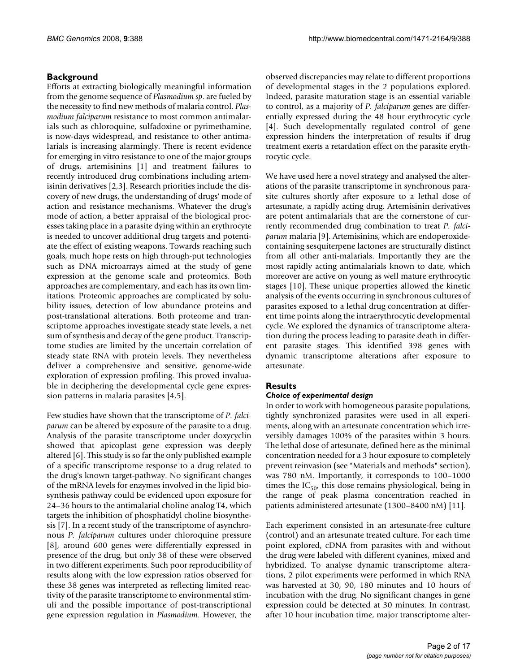# **Background**

Efforts at extracting biologically meaningful information from the genome sequence of *Plasmodium sp*. are fueled by the necessity to find new methods of malaria control. *Plasmodium falciparum* resistance to most common antimalarials such as chloroquine, sulfadoxine or pyrimethamine, is now-days widespread, and resistance to other antimalarials is increasing alarmingly. There is recent evidence for emerging in vitro resistance to one of the major groups of drugs, artemisinins [[1](#page-14-0)] and treatment failures to recently introduced drug combinations including artemisinin derivatives [2,3]. Research priorities include the discovery of new drugs, the understanding of drugs' mode of action and resistance mechanisms. Whatever the drug's mode of action, a better appraisal of the biological processes taking place in a parasite dying within an erythrocyte is needed to uncover additional drug targets and potentiate the effect of existing weapons. Towards reaching such goals, much hope rests on high through-put technologies such as DNA microarrays aimed at the study of gene expression at the genome scale and proteomics. Both approaches are complementary, and each has its own limitations. Proteomic approaches are complicated by solubility issues, detection of low abundance proteins and post-translational alterations. Both proteome and transcriptome approaches investigate steady state levels, a net sum of synthesis and decay of the gene product. Transcriptome studies are limited by the uncertain correlation of steady state RNA with protein levels. They nevertheless deliver a comprehensive and sensitive, genome-wide exploration of expression profiling. This proved invaluable in deciphering the developmental cycle gene expression patterns in malaria parasites [4,5].

Few studies have shown that the transcriptome of *P. falciparum* can be altered by exposure of the parasite to a drug. Analysis of the parasite transcriptome under doxycyclin showed that apicoplast gene expression was deeply altered [6]. This study is so far the only published example of a specific transcriptome response to a drug related to the drug's known target-pathway. No significant changes of the mRNA levels for enzymes involved in the lipid biosynthesis pathway could be evidenced upon exposure for 24–36 hours to the antimalarial choline analog T4, which targets the inhibition of phosphatidyl choline biosynthesis [7]. In a recent study of the transcriptome of asynchronous *P. falciparum* cultures under chloroquine pressure [[8\]](#page-14-1), around 600 genes were differentially expressed in presence of the drug, but only 38 of these were observed in two different experiments. Such poor reproducibility of results along with the low expression ratios observed for these 38 genes was interpreted as reflecting limited reactivity of the parasite transcriptome to environmental stimuli and the possible importance of post-transcriptional gene expression regulation in *Plasmodium*. However, the observed discrepancies may relate to different proportions of developmental stages in the 2 populations explored. Indeed, parasite maturation stage is an essential variable to control, as a majority of *P. falciparum* genes are differentially expressed during the 48 hour erythrocytic cycle [4]. Such developmentally regulated control of gene expression hinders the interpretation of results if drug treatment exerts a retardation effect on the parasite erythrocytic cycle.

We have used here a novel strategy and analysed the alterations of the parasite transcriptome in synchronous parasite cultures shortly after exposure to a lethal dose of artesunate, a rapidly acting drug. Artemisinin derivatives are potent antimalarials that are the cornerstone of currently recommended drug combination to treat *P. falciparum* malaria [9]. Artemisinins, which are endoperoxidecontaining sesquiterpene lactones are structurally distinct from all other anti-malarials. Importantly they are the most rapidly acting antimalarials known to date, which moreover are active on young as well mature erythrocytic stages [10]. These unique properties allowed the kinetic analysis of the events occurring in synchronous cultures of parasites exposed to a lethal drug concentration at different time points along the intraerythrocytic developmental cycle. We explored the dynamics of transcriptome alteration during the process leading to parasite death in different parasite stages. This identified 398 genes with dynamic transcriptome alterations after exposure to artesunate.

# **Results**

#### *Choice of experimental design*

In order to work with homogeneous parasite populations, tightly synchronized parasites were used in all experiments, along with an artesunate concentration which irreversibly damages 100% of the parasites within 3 hours. The lethal dose of artesunate, defined here as the minimal concentration needed for a 3 hour exposure to completely prevent reinvasion (see "Materials and methods" section), was 780 nM. Importantly, it corresponds to 100–1000 times the  $IC_{50}$ , this dose remains physiological, being in the range of peak plasma concentration reached in patients administered artesunate (1300–8400 nM) [11].

Each experiment consisted in an artesunate-free culture (control) and an artesunate treated culture. For each time point explored, cDNA from parasites with and without the drug were labeled with different cyanines, mixed and hybridized. To analyse dynamic transcriptome alterations, 2 pilot experiments were performed in which RNA was harvested at 30, 90, 180 minutes and 10 hours of incubation with the drug. No significant changes in gene expression could be detected at 30 minutes. In contrast, after 10 hour incubation time, major transcriptome alter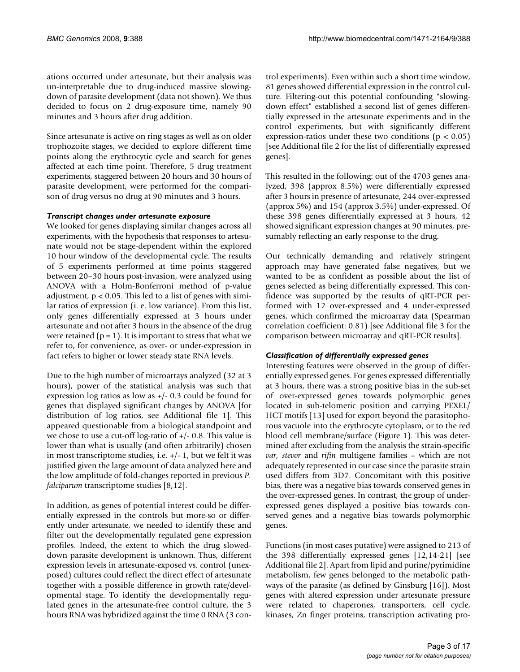ations occurred under artesunate, but their analysis was un-interpretable due to drug-induced massive slowingdown of parasite development (data not shown). We thus decided to focus on 2 drug-exposure time, namely 90 minutes and 3 hours after drug addition.

Since artesunate is active on ring stages as well as on older trophozoite stages, we decided to explore different time points along the erythrocytic cycle and search for genes affected at each time point. Therefore, 5 drug treatment experiments, staggered between 20 hours and 30 hours of parasite development, were performed for the comparison of drug versus no drug at 90 minutes and 3 hours.

#### *Transcript changes under artesunate exposure*

We looked for genes displaying similar changes across all experiments, with the hypothesis that responses to artesunate would not be stage-dependent within the explored 10 hour window of the developmental cycle. The results of 5 experiments performed at time points staggered between 20–30 hours post-invasion, were analyzed using ANOVA with a Holm-Bonferroni method of p-value adjustment,  $p < 0.05$ . This led to a list of genes with similar ratios of expression (i. e. low variance). From this list, only genes differentially expressed at 3 hours under artesunate and not after 3 hours in the absence of the drug were retained ( $p = 1$ ). It is important to stress that what we refer to, for convenience, as over- or under-expression in fact refers to higher or lower steady state RNA levels.

Due to the high number of microarrays analyzed (32 at 3 hours), power of the statistical analysis was such that expression log ratios as low as +/- 0.3 could be found for genes that displayed significant changes by ANOVA [for distribution of log ratios, see Additional file 1]. This appeared questionable from a biological standpoint and we chose to use a cut-off log-ratio of +/- 0.8. This value is lower than what is usually (and often arbitrarily) chosen in most transcriptome studies, i.e. +/- 1, but we felt it was justified given the large amount of data analyzed here and the low amplitude of fold-changes reported in previous *P. falciparum* transcriptome studies [[8](#page-14-1),12].

In addition, as genes of potential interest could be differentially expressed in the controls but more-so or differently under artesunate, we needed to identify these and filter out the developmentally regulated gene expression profiles. Indeed, the extent to which the drug sloweddown parasite development is unknown. Thus, different expression levels in artesunate-exposed vs. control (unexposed) cultures could reflect the direct effect of artesunate together with a possible difference in growth rate/developmental stage. To identify the developmentally regulated genes in the artesunate-free control culture, the 3 hours RNA was hybridized against the time 0 RNA (3 control experiments). Even within such a short time window, 81 genes showed differential expression in the control culture. Filtering-out this potential confounding "slowingdown effect" established a second list of genes differentially expressed in the artesunate experiments and in the control experiments, but with significantly different expression-ratios under these two conditions ( $p < 0.05$ ) [see Additional file 2 for the list of differentially expressed genes].

This resulted in the following: out of the 4703 genes analyzed, 398 (approx 8.5%) were differentially expressed after 3 hours in presence of artesunate, 244 over-expressed (approx 5%) and 154 (approx 3.5%) under-expressed. Of these 398 genes differentially expressed at 3 hours, 42 showed significant expression changes at 90 minutes, presumably reflecting an early response to the drug.

Our technically demanding and relatively stringent approach may have generated false negatives, but we wanted to be as confident as possible about the list of genes selected as being differentially expressed. This confidence was supported by the results of qRT-PCR performed with 12 over-expressed and 4 under-expressed genes, which confirmed the microarray data (Spearman correlation coefficient: 0.81) [see Additional file 3 for the comparison between microarray and qRT-PCR results].

#### *Classification of differentially expressed genes*

Interesting features were observed in the group of differentially expressed genes. For genes expressed differentially at 3 hours, there was a strong positive bias in the sub-set of over-expressed genes towards polymorphic genes located in sub-telomeric position and carrying PEXEL/ HCT motifs [13] used for export beyond the parasitophorous vacuole into the erythrocyte cytoplasm, or to the red blood cell membrane/surface (Figure 1). This was determined after excluding from the analysis the strain-specific *var, stevor* and *rifin* multigene families – which are not adequately represented in our case since the parasite strain used differs from 3D7. Concomitant with this positive bias, there was a negative bias towards conserved genes in the over-expressed genes. In contrast, the group of underexpressed genes displayed a positive bias towards conserved genes and a negative bias towards polymorphic genes.

Functions (in most cases putative) were assigned to 213 of the 398 differentially expressed genes [12,14-21] [see Additional file 2]. Apart from lipid and purine/pyrimidine metabolism, few genes belonged to the metabolic pathways of the parasite (as defined by Ginsburg [16]). Most genes with altered expression under artesunate pressure were related to chaperones, transporters, cell cycle, kinases, Zn finger proteins, transcription activating pro-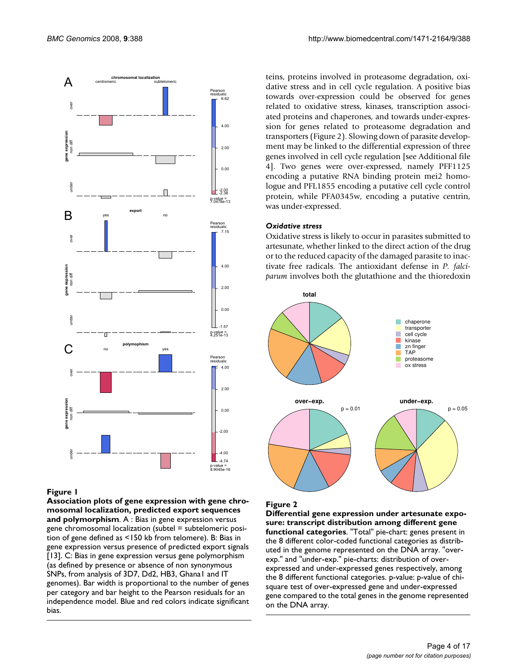

#### **Figure 1**

**Association plots of gene expression with gene chromosomal localization, predicted export sequences and polymorphism**. A : Bias in gene expression versus gene chromosomal localization (subtel = subtelomeric position of gene defined as <150 kb from telomere). B: Bias in gene expression versus presence of predicted export signals [13]. C: Bias in gene expression versus gene polymorphism (as defined by presence or absence of non synonymous SNPs, from analysis of 3D7, Dd2, HB3, Ghana1 and IT genomes). Bar width is proportional to the number of genes per category and bar height to the Pearson residuals for an independence model. Blue and red colors indicate significant bias.

teins, proteins involved in proteasome degradation, oxidative stress and in cell cycle regulation. A positive bias towards over-expression could be observed for genes related to oxidative stress, kinases, transcription associated proteins and chaperones, and towards under-expression for genes related to proteasome degradation and transporters (Figure 2). Slowing down of parasite development may be linked to the differential expression of three genes involved in cell cycle regulation [see Additional file 4]. Two genes were over-expressed, namely PFF1125 encoding a putative RNA binding protein mei2 homologue and PFL1855 encoding a putative cell cycle control protein, while PFA0345w, encoding a putative centrin, was under-expressed.

#### *Oxidative stress*

Oxidative stress is likely to occur in parasites submitted to artesunate, whether linked to the direct action of the drug or to the reduced capacity of the damaged parasite to inactivate free radicals. The antioxidant defense in *P. falciparum* involves both the glutathione and the thioredoxin



#### Figure 2

**Differential gene expression under artesunate exposure: transcript distribution among different gene functional categories**. "Total" pie-chart: genes present in the 8 different color-coded functional categories as distributed in the genome represented on the DNA array. "overexp." and "under-exp." pie-charts: distribution of overexpressed and under-expressed genes respectively, among the 8 different functional categories. p-value: p-value of chisquare test of over-expressed gene and under-expressed gene compared to the total genes in the genome represented on the DNA array.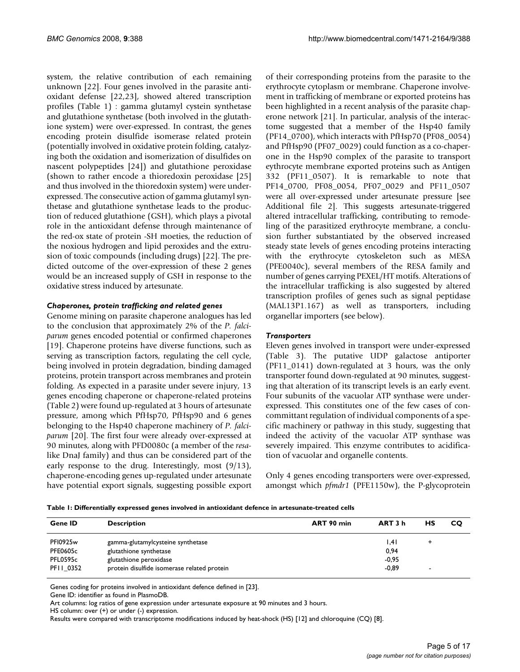system, the relative contribution of each remaining unknown [22]. Four genes involved in the parasite antioxidant defense [22,23], showed altered transcription profiles (Table 1) : gamma glutamyl cystein synthetase and glutathione synthetase (both involved in the glutathione system) were over-expressed. In contrast, the genes encoding protein disulfide isomerase related protein (potentially involved in oxidative protein folding, catalyzing both the oxidation and isomerization of disulfides on nascent polypeptides [24]) and glutathione peroxidase (shown to rather encode a thioredoxin peroxidase [25] and thus involved in the thioredoxin system) were underexpressed. The consecutive action of gamma glutamyl synthetase and glutathione synthetase leads to the production of reduced glutathione (GSH), which plays a pivotal role in the antioxidant defense through maintenance of the red-ox state of protein -SH moeties, the reduction of the noxious hydrogen and lipid peroxides and the extrusion of toxic compounds (including drugs) [22]. The predicted outcome of the over-expression of these 2 genes would be an increased supply of GSH in response to the oxidative stress induced by artesunate.

#### *Chaperones, protein trafficking and related genes*

Genome mining on parasite chaperone analogues has led to the conclusion that approximately 2% of the *P. falciparum* genes encoded potential or confirmed chaperones [19]. Chaperone proteins have diverse functions, such as serving as transcription factors, regulating the cell cycle, being involved in protein degradation, binding damaged proteins, protein transport across membranes and protein folding. As expected in a parasite under severe injury, 13 genes encoding chaperone or chaperone-related proteins (Table 2) were found up-regulated at 3 hours of artesunate pressure, among which PfHsp70, PfHsp90 and 6 genes belonging to the Hsp40 chaperone machinery of *P. falciparum* [\[20](#page-14-2)]. The first four were already over-expressed at 90 minutes, along with PFD0080c (a member of the *resa*like DnaJ family) and thus can be considered part of the early response to the drug. Interestingly, most (9/13), chaperone-encoding genes up-regulated under artesunate have potential export signals, suggesting possible export of their corresponding proteins from the parasite to the erythrocyte cytoplasm or membrane. Chaperone involvement in trafficking of membrane or exported proteins has been highlighted in a recent analysis of the parasite chaperone network [21]. In particular, analysis of the interactome suggested that a member of the Hsp40 family (PF14\_0700), which interacts with PfHsp70 (PF08\_0054) and PfHsp90 (PF07\_0029) could function as a co-chaperone in the Hsp90 complex of the parasite to transport eythrocyte membrane exported proteins such as Antigen 332 (PF11\_0507). It is remarkable to note that PF14\_0700, PF08\_0054, PF07\_0029 and PF11\_0507 were all over-expressed under artesunate pressure [see Additional file 2]. This suggests artesunate-triggered altered intracellular trafficking, contributing to remodeling of the parasitized erythrocyte membrane, a conclusion further substantiated by the observed increased steady state levels of genes encoding proteins interacting with the erythrocyte cytoskeleton such as MESA (PFE0040c), several members of the RESA family and number of genes carrying PEXEL/HT motifs. Alterations of the intracellular trafficking is also suggested by altered transcription profiles of genes such as signal peptidase (MAL13P1.167) as well as transporters, including organellar importers (see below).

#### *Transporters*

Eleven genes involved in transport were under-expressed (Table 3). The putative UDP galactose antiporter (PF11\_0141) down-regulated at 3 hours, was the only transporter found down-regulated at 90 minutes, suggesting that alteration of its transcript levels is an early event. Four subunits of the vacuolar ATP synthase were underexpressed. This constitutes one of the few cases of concommittant regulation of individual components of a specific machinery or pathway in this study, suggesting that indeed the activity of the vacuolar ATP synthase was severely impaired. This enzyme contributes to acidification of vacuolar and organelle contents.

Only 4 genes encoding transporters were over-expressed, amongst which *pfmdr1* (PFE1150w), the P-glycoprotein

|  |  | Table I: Differentially expressed genes involved in antioxidant defence in artesunate-treated cells |
|--|--|-----------------------------------------------------------------------------------------------------|
|--|--|-----------------------------------------------------------------------------------------------------|

| <b>Gene ID</b>  | <b>Description</b>                          | ART 90 min | ART 3 h | НS | <b>CO</b> |
|-----------------|---------------------------------------------|------------|---------|----|-----------|
| <b>PFI0925w</b> | gamma-glutamylcysteine synthetase           |            | .4      | ٠  |           |
| <b>PFE0605c</b> | glutathione synthetase                      |            | 0,94    |    |           |
| PFL0595c        | glutathione peroxidase                      |            | $-0.95$ |    |           |
| PFII 0352       | protein disulfide isomerase related protein |            | $-0.89$ |    |           |

Genes coding for proteins involved in antioxidant defence defined in [23].

Gene ID: identifier as found in PlasmoDB.

Art columns: log ratios of gene expression under artesunate exposure at 90 minutes and 3 hours.

HS column: over (+) or under (-) expression.

Results were compared with transcriptome modifications induced by heat-shock (HS) [12] and chloroquine (CQ) [\[8](#page-14-1)].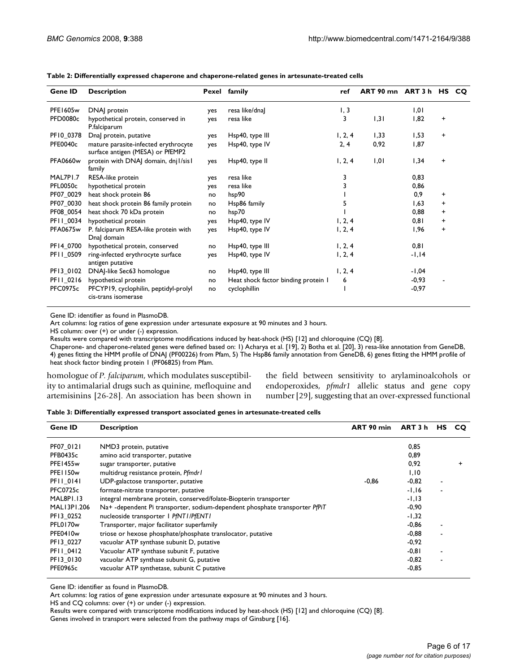| Gene ID         | <b>Description</b>                                                       |     | Pexel family                        | ref     | ART 90 mn ART 3 h HS |          |           | CO. |
|-----------------|--------------------------------------------------------------------------|-----|-------------------------------------|---------|----------------------|----------|-----------|-----|
| <b>PFE1605w</b> | DNA] protein                                                             | yes | resa like/dna]                      | 1, 3    |                      | 1,01     |           |     |
| PFD0080c        | hypothetical protein, conserved in<br>P.falciparum                       | yes | resa like                           | 3       | 1,31                 | 1,82     | $\ddot{}$ |     |
| PF10_0378       | Dnal protein, putative                                                   | yes | Hsp40, type III                     | 1, 2, 4 | 1,33                 | 1,53     | $\ddot{}$ |     |
| PFE0040c        | mature parasite-infected erythrocyte<br>surface antigen (MESA) or PfEMP2 | yes | Hsp40, type IV                      | 2, 4    | 0,92                 | 1,87     |           |     |
| <b>PFA0660w</b> | protein with DNAJ domain, dnj l/sis1<br>family                           | yes | Hsp40, type II                      | 1, 2, 4 | 1,01                 | 1,34     | $\ddot{}$ |     |
| MAL7PI.7        | RESA-like protein                                                        | yes | resa like                           | 3       |                      | 0,83     |           |     |
| <b>PFL0050c</b> | hypothetical protein                                                     | yes | resa like                           | 3       |                      | 0,86     |           |     |
| PF07_0029       | heat shock protein 86                                                    | no  | hsp90                               |         |                      | 0,9      | +         |     |
| PF07_0030       | heat shock protein 86 family protein                                     | no  | Hsp86 family                        |         |                      | 1,63     | $\ddot{}$ |     |
| PF08 0054       | heat shock 70 kDa protein                                                | no  | hsp70                               |         |                      | 0,88     | $\ddot{}$ |     |
| PF11_0034       | hypothetical protein                                                     | yes | Hsp40, type IV                      | 1, 2, 4 |                      | 0,81     | +         |     |
| <b>PFA0675w</b> | P. falciparum RESA-like protein with<br>Dnal domain                      | yes | Hsp40, type IV                      | 1, 2, 4 |                      | 1,96     | $\ddot{}$ |     |
| PF14 0700       | hypothetical protein, conserved                                          | no  | Hsp40, type III                     | 1, 2, 4 |                      | 0,81     |           |     |
| PF11_0509       | ring-infected erythrocyte surface<br>antigen putative                    | yes | Hsp40, type IV                      | 1, 2, 4 |                      | $-1, 14$ |           |     |
| PF13_0102       | DNAJ-like Sec63 homologue                                                | no  | Hsp40, type III                     | 1, 2, 4 |                      | $-1,04$  |           |     |
| PF11_0216       | hypothetical protein                                                     | no  | Heat shock factor binding protein I | 6       |                      | $-0,93$  |           |     |
| <b>PFC0975c</b> | PFCYP19, cyclophilin, peptidyl-prolyl<br>cis-trans isomerase             | no  | cyclophillin                        |         |                      | $-0,97$  |           |     |

**Table 2: Differentially expressed chaperone and chaperone-related genes in artesunate-treated cells**

Gene ID: identifier as found in PlasmoDB.

Art columns: log ratios of gene expression under artesunate exposure at 90 minutes and 3 hours.

HS column: over (+) or under (-) expression.

Results were compared with transcriptome modifications induced by heat-shock (HS) [12] and chloroquine (CQ) [\[8](#page-14-1)].

Chaperone- and chaperone-related genes were defined based on: 1) Acharya et al. [19], 2) Botha et al. [\[20](#page-14-2)], 3) resa-like annotation from GeneDB, 4) genes fitting the HMM profile of DNAJ (PF00226) from Pfam, 5) The Hsp86 family annotation from GeneDB, 6) genes fitting the HMM profile of heat shock factor binding protein 1 (PF06825) from Pfam.

homologue of *P. falciparum*, which modulates susceptibility to antimalarial drugs such as quinine, mefloquine and artemisinins [26-28]. An association has been shown in the field between sensitivity to arylaminoalcohols or endoperoxides, *pfmdr1* allelic status and gene copy number [29], suggesting that an over-expressed functional

**Table 3: Differentially expressed transport associated genes in artesunate-treated cells**

| <b>Gene ID</b>       | <b>Description</b>                                                         | ART 90 min | ART 3 h  | <b>HS</b> | <b>CO</b> |
|----------------------|----------------------------------------------------------------------------|------------|----------|-----------|-----------|
| PF07 0121            | NMD3 protein, putative                                                     |            | 0,85     |           |           |
| <b>PFB0435c</b>      | amino acid transporter, putative                                           |            | 0.89     |           |           |
| PFE1455w             | sugar transporter, putative                                                |            | 0,92     |           |           |
| PFE1150w             | multidrug resistance protein, Pfmdr1                                       |            | 1,10     |           |           |
| <b>PFII 0141</b>     | UDP-galactose transporter, putative                                        | $-0,86$    | $-0,82$  |           |           |
| <b>PFC0725c</b>      | formate-nitrate transporter, putative                                      |            | $-1,16$  |           |           |
| MAL8PI.13            | integral membrane protein, conserved/folate-Biopterin transporter          |            | $-1, 13$ |           |           |
| MAL13P1.206          | Na+-dependent Pi transporter, sodium-dependent phosphate transporter PfPiT |            | $-0,90$  |           |           |
| PF13 0252            | nucleoside transporter   PfNTI/PfENTI                                      |            | $-1,32$  |           |           |
| PFL0170 <sub>w</sub> | Transporter, major facilitator superfamily                                 |            | $-0,86$  |           |           |
| PFE0410w             | triose or hexose phosphate/phosphate translocator, putative                |            | $-0,88$  |           |           |
| PF13 0227            | vacuolar ATP synthase subunit D, putative                                  |            | $-0,92$  |           |           |
| PFII 0412            | Vacuolar ATP synthase subunit F, putative                                  |            | $-0,81$  |           |           |
| PF13_0130            | vacuolar ATP synthase subunit G, putative                                  |            | $-0,82$  |           |           |
| <b>PFE0965c</b>      | vacuolar ATP synthetase, subunit C putative                                |            | $-0,85$  |           |           |

Gene ID: identifier as found in PlasmoDB.

Art columns: log ratios of gene expression under artesunate exposure at 90 minutes and 3 hours.

HS and CQ columns: over (+) or under (-) expression.

Results were compared with transcriptome modifications induced by heat-shock (HS) [12] and chloroquine (CQ) [\[8](#page-14-1)].

Genes involved in transport were selected from the pathway maps of Ginsburg [16].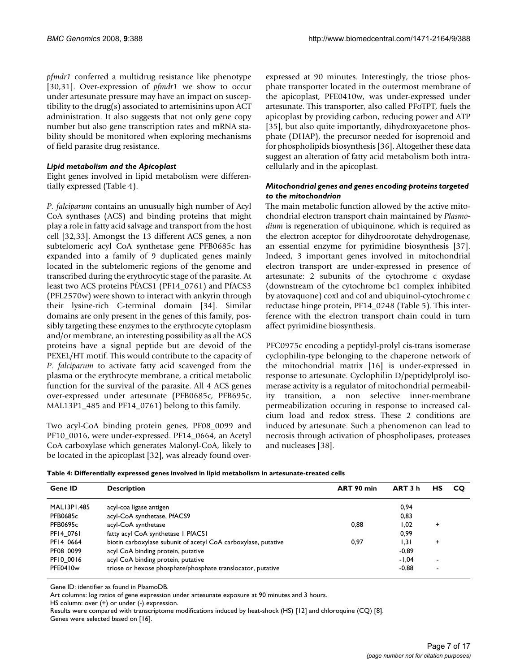*pfmdr1* conferred a multidrug resistance like phenotype [[30](#page-15-0),31]. Over-expression of *pfmdr1* we show to occur under artesunate pressure may have an impact on susceptibility to the drug(s) associated to artemisinins upon ACT administration. It also suggests that not only gene copy number but also gene transcription rates and mRNA stability should be monitored when exploring mechanisms of field parasite drug resistance.

#### *Lipid metabolism and the Apicoplast*

Eight genes involved in lipid metabolism were differentially expressed (Table 4).

*P. falciparum* contains an unusually high number of Acyl CoA synthases (ACS) and binding proteins that might play a role in fatty acid salvage and transport from the host cell [32,33]. Amongst the 13 different ACS genes, a non subtelomeric acyl CoA synthetase gene PFB0685c has expanded into a family of 9 duplicated genes mainly located in the subtelomeric regions of the genome and transcribed during the erythrocytic stage of the parasite. At least two ACS proteins PfACS1 (PF14\_0761) and PfACS3 (PFL2570w) were shown to interact with ankyrin through their lysine-rich C-terminal domain [\[34](#page-15-1)]. Similar domains are only present in the genes of this family, possibly targeting these enzymes to the erythrocyte cytoplasm and/or membrane, an interesting possibility as all the ACS proteins have a signal peptide but are devoid of the PEXEL/HT motif. This would contribute to the capacity of *P. falciparum* to activate fatty acid scavenged from the plasma or the erythrocyte membrane, a critical metabolic function for the survival of the parasite. All 4 ACS genes over-expressed under artesunate (PFB0685c, PFB695c, MAL13P1\_485 and PF14\_0761) belong to this family.

Two acyl-CoA binding protein genes, PF08\_0099 and PF10\_0016, were under-expressed. PF14\_0664, an Acetyl CoA carboxylase which generates Malonyl-CoA, likely to be located in the apicoplast [32], was already found overexpressed at 90 minutes. Interestingly, the triose phosphate transporter located in the outermost membrane of the apicoplast, PFE0410w, was under-expressed under artesunate. This transporter, also called PFoTPT, fuels the apicoplast by providing carbon, reducing power and ATP [35], but also quite importantly, dihydroxyacetone phosphate (DHAP), the precursor needed for isoprenoid and for phospholipids biosynthesis [[36\]](#page-15-2). Altogether these data suggest an alteration of fatty acid metabolism both intracellularly and in the apicoplast.

#### *Mitochondrial genes and genes encoding proteins targeted to the mitochondrion*

The main metabolic function allowed by the active mitochondrial electron transport chain maintained by *Plasmodium* is regeneration of ubiquinone, which is required as the electron acceptor for dihydroorotate dehydrogenase, an essential enzyme for pyrimidine biosynthesis [37]. Indeed, 3 important genes involved in mitochondrial electron transport are under-expressed in presence of artesunate: 2 subunits of the cytochrome c oxydase (downstream of the cytochrome bc1 complex inhibited by atovaquone) coxI and coI and ubiquinol-cytochrome c reductase hinge protein, PF14\_0248 (Table 5). This interference with the electron transport chain could in turn affect pyrimidine biosynthesis.

PFC0975c encoding a peptidyl-prolyl cis-trans isomerase cyclophilin-type belonging to the chaperone network of the mitochondrial matrix [16] is under-expressed in response to artesunate. Cyclophilin D/peptidylprolyl isomerase activity is a regulator of mitochondrial permeability transition, a non selective inner-membrane permeabilization occuring in response to increased calcium load and redox stress. These 2 conditions are induced by artesunate. Such a phenomenon can lead to necrosis through activation of phospholipases, proteases and nucleases [38].

| Table 4: Differentially expressed genes involved in lipid metabolism in artesunate-treated cells |  |
|--------------------------------------------------------------------------------------------------|--|
|--------------------------------------------------------------------------------------------------|--|

| <b>Gene ID</b>  | <b>Description</b>                                             | ART 90 min | ART 3 h | нs | CO. |
|-----------------|----------------------------------------------------------------|------------|---------|----|-----|
| MAL13P1.485     | acyl-coa ligase antigen                                        |            | 0.94    |    |     |
| <b>PFB0685c</b> | acyl-CoA synthetase, PfACS9                                    |            | 0,83    |    |     |
| <b>PFB0695c</b> | acyl-CoA synthetase                                            | 0.88       | 1,02    | ٠  |     |
| PF14 0761       | fatty acyl CoA synthetase I PfACSI                             |            | 0,99    |    |     |
| PF14 0664       | biotin carboxylase subunit of acetyl CoA carboxylase, putative | 0.97       | 1.31    | ÷  |     |
| PF08 0099       | acyl CoA binding protein, putative                             |            | $-0,89$ |    |     |
| PF10 0016       | acyl CoA binding protein, putative                             |            | $-1.04$ |    |     |
| PFE0410w        | triose or hexose phosphate/phosphate translocator, putative    |            | $-0,88$ | -  |     |

Gene ID: identifier as found in PlasmoDB.

Art columns: log ratios of gene expression under artesunate exposure at 90 minutes and 3 hours.

HS column: over (+) or under (-) expression.

Results were compared with transcriptome modifications induced by heat-shock (HS) [12] and chloroquine (CQ) [\[8](#page-14-1)]. Genes were selected based on [16].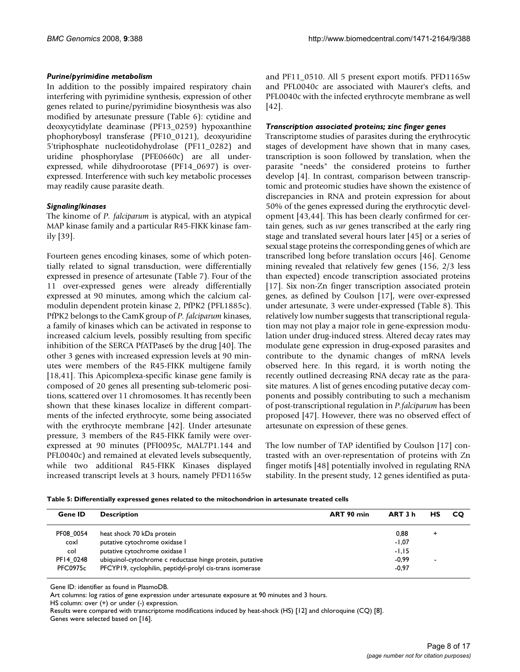#### *Purine/pyrimidine metabolism*

In addition to the possibly impaired respiratory chain interfering with pyrimidine synthesis, expression of other genes related to purine/pyrimidine biosynthesis was also modified by artesunate pressure (Table 6): cytidine and deoxycytidylate deaminase (PF13\_0259) hypoxanthine phophorybosyl transferase (PF10\_0121), deoxyuridine 5'triphosphate nucleotidohydrolase (PF11\_0282) and uridine phosphorylase (PFE0660c) are all underexpressed, while dihydroorotase (PF14\_0697) is overexpressed. Interference with such key metabolic processes may readily cause parasite death.

#### *Signaling/kinases*

The kinome of *P. falciparum* is atypical, with an atypical MAP kinase family and a particular R45-FIKK kinase family [39].

Fourteen genes encoding kinases, some of which potentially related to signal transduction, were differentially expressed in presence of artesunate (Table 7). Four of the 11 over-expressed genes were already differentially expressed at 90 minutes, among which the calcium calmodulin dependent protein kinase 2, PfPK2 (PFL1885c). PfPK2 belongs to the CamK group of *P. falciparum* kinases, a family of kinases which can be activated in response to increased calcium levels, possibly resulting from specific inhibition of the SERCA PfATPase6 by the drug [\[40\]](#page-15-3). The other 3 genes with increased expression levels at 90 minutes were members of the R45-FIKK multigene family [18,41]. This Apicomplexa-specific kinase gene family is composed of 20 genes all presenting sub-telomeric positions, scattered over 11 chromosomes. It has recently been shown that these kinases localize in different compartments of the infected erythrocyte, some being associated with the erythrocyte membrane [[42\]](#page-15-4). Under artesunate pressure, 3 members of the R45-FIKK family were overexpressed at 90 minutes (PFI0095c, MAL7P1.144 and PFL0040c) and remained at elevated levels subsequently, while two additional R45-FIKK Kinases displayed increased transcript levels at 3 hours, namely PFD1165w and PF11\_0510. All 5 present export motifs. PFD1165w and PFL0040c are associated with Maurer's clefts, and PFL0040c with the infected erythrocyte membrane as well [[42](#page-15-4)].

#### *Transcription associated proteins; zinc finger genes*

Transcriptome studies of parasites during the erythrocytic stages of development have shown that in many cases, transcription is soon followed by translation, when the parasite "needs" the considered proteins to further develop [4]. In contrast, comparison between transcriptomic and proteomic studies have shown the existence of discrepancies in RNA and protein expression for about 50% of the genes expressed during the erythrocytic development [43[,44\]](#page-15-5). This has been clearly confirmed for certain genes, such as *var* genes transcribed at the early ring stage and translated several hours later [45] or a series of sexual stage proteins the corresponding genes of which are transcribed long before translation occurs [46]. Genome mining revealed that relatively few genes (156, 2/3 less than expected) encode transcription associated proteins [17]. Six non-Zn finger transcription associated protein genes, as defined by Coulson [17], were over-expressed under artesunate, 3 were under-expressed (Table 8). This relatively low number suggests that transcriptional regulation may not play a major role in gene-expression modulation under drug-induced stress. Altered decay rates may modulate gene expression in drug-exposed parasites and contribute to the dynamic changes of mRNA levels observed here. In this regard, it is worth noting the recently outlined decreasing RNA decay rate as the parasite matures. A list of genes encoding putative decay components and possibly contributing to such a mechanism of post-transcriptional regulation in *P.falciparum* has been proposed [47]. However, there was no observed effect of artesunate on expression of these genes.

The low number of TAP identified by Coulson [17] contrasted with an over-representation of proteins with Zn finger motifs [48] potentially involved in regulating RNA stability. In the present study, 12 genes identified as puta-

| Table 5: Differentially expressed genes related to the mitochondrion in artesunate treated cells |  |
|--------------------------------------------------------------------------------------------------|--|
|                                                                                                  |  |

| <b>Gene ID</b>  | <b>Description</b>                                        | ART 90 min | ART 3 h | НS             | <b>CO</b> |
|-----------------|-----------------------------------------------------------|------------|---------|----------------|-----------|
| PF08 0054       | heat shock 70 kDa protein                                 |            | 0.88    | ٠              |           |
| coxl            | putative cytochrome oxidase I                             |            | $-1,07$ |                |           |
| col             | putative cytochrome oxidase I                             |            | $-1.15$ |                |           |
| PF14 0248       | ubiquinol-cytochrome c reductase hinge protein, putative  |            | $-0.99$ | $\blacksquare$ |           |
| <b>PFC0975c</b> | PFCYP19, cyclophilin, peptidyl-prolyl cis-trans isomerase |            | $-0.97$ |                |           |
|                 |                                                           |            |         |                |           |

Gene ID: identifier as found in PlasmoDB.

Art columns: log ratios of gene expression under artesunate exposure at 90 minutes and 3 hours.

HS column: over (+) or under (-) expression.

Results were compared with transcriptome modifications induced by heat-shock (HS) [12] and chloroquine (CQ) [\[8](#page-14-1)]. Genes were selected based on [16].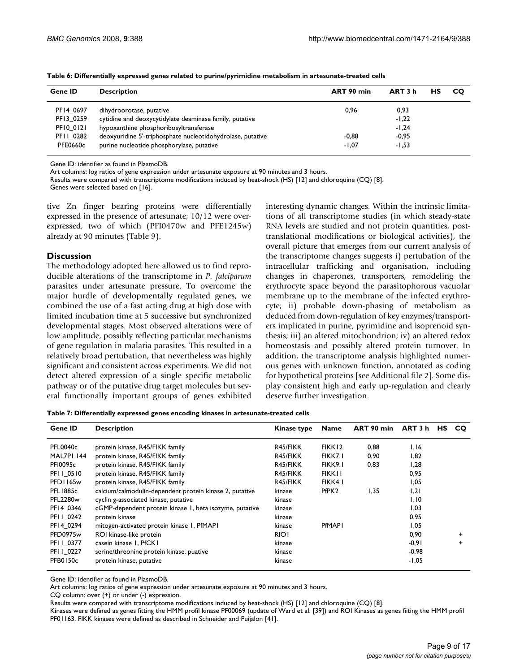| Gene ID   | <b>Description</b>                                         | ART 90 min | ART 3 h | HS | <b>CO</b> |
|-----------|------------------------------------------------------------|------------|---------|----|-----------|
| PF14 0697 | dihydroorotase, putative                                   | 0.96       | 0,93    |    |           |
| PF13 0259 | cytidine and deoxycytidylate deaminase family, putative    |            | $-1,22$ |    |           |
| PF10 0121 | hypoxanthine phosphoribosyltransferase                     |            | $-1,24$ |    |           |
| PFII 0282 | deoxyuridine 5'-triphosphate nucleotidohydrolase, putative | $-0.88$    | $-0.95$ |    |           |
| PFE0660c  | purine nucleotide phosphorylase, putative                  | $-1.07$    | $-1,53$ |    |           |

**Table 6: Differentially expressed genes related to purine/pyrimidine metabolism in artesunate-treated cells**

Gene ID: identifier as found in PlasmoDB.

Art columns: log ratios of gene expression under artesunate exposure at 90 minutes and 3 hours.

Results were compared with transcriptome modifications induced by heat-shock (HS) [12] and chloroquine (CQ) [\[8](#page-14-1)].

Genes were selected based on [16].

tive Zn finger bearing proteins were differentially expressed in the presence of artesunate; 10/12 were overexpressed, two of which (PFI0470w and PFE1245w) already at 90 minutes (Table 9).

#### **Discussion**

The methodology adopted here allowed us to find reproducible alterations of the transcriptome in *P. falciparum* parasites under artesunate pressure. To overcome the major hurdle of developmentally regulated genes, we combined the use of a fast acting drug at high dose with limited incubation time at 5 successive but synchronized developmental stages. Most observed alterations were of low amplitude, possibly reflecting particular mechanisms of gene regulation in malaria parasites. This resulted in a relatively broad pertubation, that nevertheless was highly significant and consistent across experiments. We did not detect altered expression of a single specific metabolic pathway or of the putative drug target molecules but several functionally important groups of genes exhibited interesting dynamic changes. Within the intrinsic limitations of all transcriptome studies (in which steady-state RNA levels are studied and not protein quantities, posttranslational modifications or biological activities), the overall picture that emerges from our current analysis of the transcriptome changes suggests i) pertubation of the intracellular trafficking and organisation, including changes in chaperones, transporters, remodeling the erythrocyte space beyond the parasitophorous vacuolar membrane up to the membrane of the infected erythrocyte; ii) probable down-phasing of metabolism as deduced from down-regulation of key enzymes/transporters implicated in purine, pyrimidine and isoprenoid synthesis; iii) an altered mitochondrion; iv) an altered redox homeostasis and possibly altered protein turnover. In addition, the transcriptome analysis highlighted numerous genes with unknown function, annotated as coding for hypothetical proteins [see Additional file 2]. Some display consistent high and early up-regulation and clearly deserve further investigation.

**Table 7: Differentially expressed genes encoding kinases in artesunate-treated cells**

| Gene ID          | <b>Description</b>                                      | Kinase type | <b>Name</b>       | ART 90 min | ART 3 h | HS. | CO.   |
|------------------|---------------------------------------------------------|-------------|-------------------|------------|---------|-----|-------|
| PFL0040c         | protein kinase, R45/FIKK family                         | R45/FIKK    | FIKK12            | 0,88       | 1,16    |     |       |
| MAL7PI.144       | protein kinase, R45/FIKK family                         | R45/FIKK    | FIKK7.I           | 0,90       | 1,82    |     |       |
| <b>PFI0095c</b>  | protein kinase, R45/FIKK family                         | R45/FIKK    | FIKK9.I           | 0,83       | 28, ا   |     |       |
| <b>PFII 0510</b> | protein kinase, R45/FIKK family                         | R45/FIKK    | <b>FIKK11</b>     |            | 0,95    |     |       |
| PFD1165w         | protein kinase, R45/FIKK family                         | R45/FIKK    | FIKK4.I           |            | 1,05    |     |       |
| PFL1885c         | calcium/calmodulin-dependent protein kinase 2, putative | kinase      | PfPK <sub>2</sub> | 1,35       | 1,21    |     |       |
| <b>PFL2280w</b>  | cyclin g-associated kinase, putative                    | kinase      |                   |            | 1,10    |     |       |
| PF14 0346        | cGMP-dependent protein kinase 1, beta isozyme, putative | kinase      |                   |            | 1,03    |     |       |
| PFII 0242        | protein kinase                                          | kinase      |                   |            | 0,95    |     |       |
| PF14_0294        | mitogen-activated protein kinase 1, PfMAP1              | kinase      | <b>PfMAPI</b>     |            | 1,05    |     |       |
| <b>PFD0975w</b>  | ROI kinase-like protein                                 | <b>RIOI</b> |                   |            | 0,90    |     | $\pm$ |
| PFII 0377        | casein kinase 1, PfCK1                                  | kinase      |                   |            | $-0.91$ |     | $\pm$ |
| PFII 0227        | serine/threonine protein kinase, puative                | kinase      |                   |            | $-0,98$ |     |       |
| <b>PFB0150c</b>  | protein kinase, putative                                | kinase      |                   |            | $-1,05$ |     |       |

Gene ID: identifier as found in PlasmoDB.

Art columns: log ratios of gene expression under artesunate exposure at 90 minutes and 3 hours.

CQ column: over (+) or under (-) expression.

Results were compared with transcriptome modifications induced by heat-shock (HS) [12] and chloroquine (CQ) [\[8](#page-14-1)].

Kinases were defined as genes fitting the HMM profil kinase PF00069 (update of Ward et al. [39]) and ROI Kinases as genes fiiting the HMM profil PF01163. FIKK kinases were defined as described in Schneider and Puijalon [41].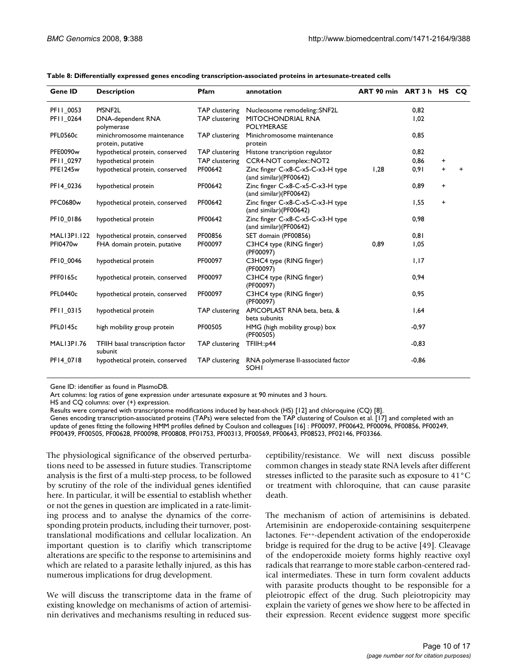| <b>Gene ID</b>     | <b>Description</b>                              | Pfam                  | annotation                                                  | ART 90 min ART 3 h HS CO |         |   |   |
|--------------------|-------------------------------------------------|-----------------------|-------------------------------------------------------------|--------------------------|---------|---|---|
| PFII 0053          | PfSNF <sub>2L</sub>                             | <b>TAP</b> clustering | Nucleosome remodeling::SNF2L                                |                          | 0,82    |   |   |
| PF11_0264          | DNA-dependent RNA<br>polymerase                 | TAP clustering        | MITOCHONDRIAL RNA<br><b>POLYMERASE</b>                      |                          | 1,02    |   |   |
| <b>PFL0560c</b>    | minichromosome maintenance<br>protein, putative | <b>TAP</b> clustering | Minichromosome maintenance<br>protein                       |                          | 0.85    |   |   |
| PFE0090w           | hypothetical protein, conserved                 | <b>TAP</b> clustering | Histone trancription regulator                              |                          | 0,82    |   |   |
| PF11_0297          | hypothetical protein                            | <b>TAP</b> clustering | CCR4-NOT complex::NOT2                                      |                          | 0,86    | + |   |
| PFE1245w           | hypothetical protein, conserved                 | PF00642               | Zinc finger C-x8-C-x5-C-x3-H type<br>(and similar)(PF00642) | 1,28                     | 0,91    | + | + |
| PF14_0236          | hypothetical protein                            | PF00642               | Zinc finger C-x8-C-x5-C-x3-H type<br>(and similar)(PF00642) |                          | 0,89    | + |   |
| <b>PFC0680w</b>    | hypothetical protein, conserved                 | PF00642               | Zinc finger C-x8-C-x5-C-x3-H type<br>(and similar)(PF00642) |                          | 1,55    | + |   |
| PF10_0186          | hypothetical protein                            | PF00642               | Zinc finger C-x8-C-x5-C-x3-H type<br>(and similar)(PF00642) |                          | 0,98    |   |   |
| <b>MALI3PI.122</b> | hypothetical protein, conserved                 | PF00856               | SET domain (PF00856)                                        |                          | 0,81    |   |   |
| <b>PFI0470w</b>    | FHA domain protein, putative                    | PF00097               | C3HC4 type (RING finger)<br>(PF00097)                       | 0.89                     | 1,05    |   |   |
| PF10 0046          | hypothetical protein                            | PF00097               | C3HC4 type (RING finger)<br>(PF00097)                       |                          | 1,17    |   |   |
| <b>PFF0165c</b>    | hypothetical protein, conserved                 | PF00097               | C3HC4 type (RING finger)<br>(PF00097)                       |                          | 0,94    |   |   |
| <b>PFL0440c</b>    | hypothetical protein, conserved                 | PF00097               | C3HC4 type (RING finger)<br>(PF00097)                       |                          | 0,95    |   |   |
| PFII 0315          | hypothetical protein                            | <b>TAP</b> clustering | APICOPLAST RNA beta, beta, &<br>beta subunits               |                          | 1,64    |   |   |
| PFL0145c           | high mobility group protein                     | PF00505               | HMG (high mobility group) box<br>(PF00505)                  |                          | $-0,97$ |   |   |
| <b>MALI3PI.76</b>  | TFIIH basal transcription factor<br>subunit     | TAP clustering        | TFIIH::p44                                                  |                          | $-0,83$ |   |   |
| PF14_0718          | hypothetical protein, conserved                 | TAP clustering        | RNA polymerase II-associated factor<br><b>SOHI</b>          |                          | $-0,86$ |   |   |

**Table 8: Differentially expressed genes encoding transcription-associated proteins in artesunate-treated cells**

Gene ID: identifier as found in PlasmoDB.

Art columns: log ratios of gene expression under artesunate exposure at 90 minutes and 3 hours.

HS and CQ columns: over (+) expression.

Results were compared with transcriptome modifications induced by heat-shock (HS) [12] and chloroquine (CQ) [\[8](#page-14-1)].

Genes encoding transcription-associated proteins (TAPs) were selected from the TAP clustering of Coulson et al. [17] and completed with an update of genes fitting the following HMM profiles defined by Coulson and colleagues [16] : PF00097, PF00642, PF00096, PF00856, PF00249, PF00439, PF00505, PF00628, PF00098, PF00808, PF01753, PF00313, PF00569, PF00643, PF08523, PF02146, PF03366.

The physiological significance of the observed perturbations need to be assessed in future studies. Transcriptome analysis is the first of a multi-step process, to be followed by scrutiny of the role of the individual genes identified here. In particular, it will be essential to establish whether or not the genes in question are implicated in a rate-limiting process and to analyse the dynamics of the corresponding protein products, including their turnover, posttranslational modifications and cellular localization. An important question is to clarifiy which transcriptome alterations are specific to the response to artemisinins and which are related to a parasite lethally injured, as this has numerous implications for drug development.

We will discuss the transcriptome data in the frame of existing knowledge on mechanisms of action of artemisinin derivatives and mechanisms resulting in reduced susceptibility/resistance. We will next discuss possible common changes in steady state RNA levels after different stresses inflicted to the parasite such as exposure to 41°C or treatment with chloroquine, that can cause parasite death.

The mechanism of action of artemisinins is debated. Artemisinin are endoperoxide-containing sesquiterpene lactones. Fe++-dependent activation of the endoperoxide bridge is required for the drug to be active [49]. Cleavage of the endoperoxide moiety forms highly reactive oxyl radicals that rearrange to more stable carbon-centered radical intermediates. These in turn form covalent adducts with parasite products thought to be responsible for a pleiotropic effect of the drug. Such pleiotropicity may explain the variety of genes we show here to be affected in their expression. Recent evidence suggest more specific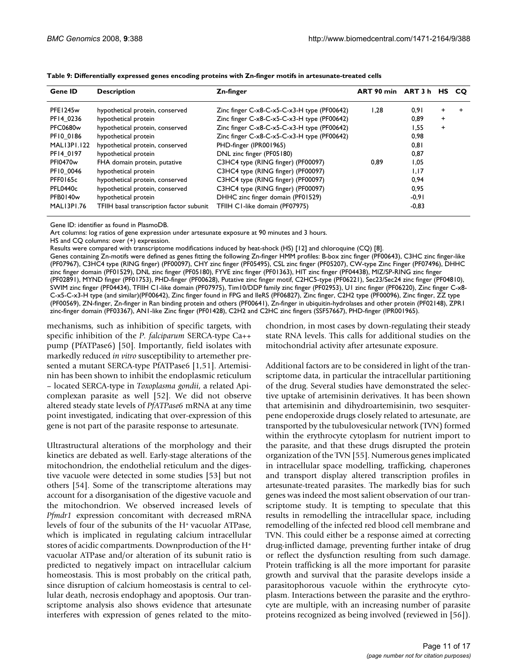| Gene ID              | <b>Description</b>                       | Zn-finger                                     | ART 90 min ART 3 h |         | HS.       | - CO |
|----------------------|------------------------------------------|-----------------------------------------------|--------------------|---------|-----------|------|
| PFE1245w             | hypothetical protein, conserved          | Zinc finger $C-x8-C-x5-C-x3-H$ type (PF00642) | 1.28               | 0.91    | +         |      |
| PF14 0236            | hypothetical protein                     | Zinc finger C-x8-C-x5-C-x3-H type (PF00642)   |                    | 0.89    | $\ddot{}$ |      |
| <b>PFC0680w</b>      | hypothetical protein, conserved          | Zinc finger C-x8-C-x5-C-x3-H type (PF00642)   |                    | 1,55    | $\ddot{}$ |      |
| PF10 0186            | hypothetical protein                     | Zinc finger C-x8-C-x5-C-x3-H type (PF00642)   |                    | 0,98    |           |      |
| MALI3PI.I22          | hypothetical protein, conserved          | PHD-finger (IPR001965)                        |                    | 0,81    |           |      |
| PF14 0197            | hypothetical protein                     | DNL zinc finger (PF05180)                     |                    | 0,87    |           |      |
| PFI0470 <sub>w</sub> | FHA domain protein, putative             | C3HC4 type (RING finger) (PF00097)            | 0.89               | 1,05    |           |      |
| PF10 0046            | hypothetical protein                     | C3HC4 type (RING finger) (PF00097)            |                    | 1,17    |           |      |
| PFF0165c             | hypothetical protein, conserved          | C3HC4 type (RING finger) (PF00097)            |                    | 0,94    |           |      |
| <b>PFL0440c</b>      | hypothetical protein, conserved          | C3HC4 type (RING finger) (PF00097)            |                    | 0,95    |           |      |
| PFB0140w             | hypothetical protein                     | DHHC zinc finger domain (PF01529)             |                    | $-0,91$ |           |      |
| MALI3PI.76           | TFIIH basal transcription factor subunit | TFIIH C1-like domain (PF07975)                |                    | $-0,83$ |           |      |

**Table 9: Differentially expressed genes encoding proteins with Zn-finger motifs in artesunate-treated cells**

Gene ID: identifier as found in PlasmoDB.

Art columns: log ratios of gene expression under artesunate exposure at 90 minutes and 3 hours.

HS and CQ columns: over (+) expression.

Results were compared with transcriptome modifications induced by heat-shock (HS) [12] and chloroquine (CQ) [\[8](#page-14-1)].

Genes containing Zn-motifs were defined as genes fitting the following Zn-finger HMM profiles: B-box zinc finger (PF00643), C3HC zinc finger-like (PF07967), C3HC4 type (RING finger) (PF00097), CHY zinc finger (PF05495), CSL zinc finger (PF05207), CW-type Zinc Finger (PF07496), DHHC zinc finger domain (PF01529), DNL zinc finger (PF05180), FYVE zinc finger (PF01363), HIT zinc finger (PF04438), MIZ/SP-RING zinc finger (PF02891), MYND finger (PF01753), PHD-finger (PF00628), Putative zinc finger motif, C2HC5-type (PF06221), Sec23/Sec24 zinc finger (PF04810), SWIM zinc finger (PF04434), TFIIH C1-like domain (PF07975), Tim10/DDP family zinc finger (PF02953), U1 zinc finger (PF06220), Zinc finger C-x8- C-x5-C-x3-H type (and similar)(PF00642), Zinc finger found in FPG and IleRS (PF06827), Zinc finger, C2H2 type (PF00096), Zinc finger, ZZ type (PF00569), ZN-finger, Zn-finger in Ran binding protein and others (PF00641), Zn-finger in ubiquitin-hydrolases and other protein (PF02148), ZPR1 zinc-finger domain (PF03367), AN1-like Zinc finger (PF01428), C2H2 and C2HC zinc fingers (SSF57667), PHD-finger (IPR001965).

mechanisms, such as inhibition of specific targets, with specific inhibition of the *P. falciparum* SERCA-type Ca++ pump (PfATPase6) [50]. Importantly, field isolates with markedly reduced *in vitro* susceptibility to artemether presented a mutant SERCA-type PfATPase6 [\[1](#page-14-0),51]. Artemisinin has been shown to inhibit the endoplasmic reticulum – located SERCA-type in *Toxoplasma gondii*, a related Apicomplexan parasite as well [52]. We did not observe altered steady state levels of *PfATPase6* mRNA at any time point investigated, indicating that over-expression of this gene is not part of the parasite response to artesunate.

Ultrastructural alterations of the morphology and their kinetics are debated as well. Early-stage alterations of the mitochondrion, the endothelial reticulum and the digestive vacuole were detected in some studies [53] but not others [54]. Some of the transcriptome alterations may account for a disorganisation of the digestive vacuole and the mitochondrion. We observed increased levels of *Pfmdr1* expression concomitant with decreased mRNA levels of four of the subunits of the H+ vacuolar ATPase, which is implicated in regulating calcium intracellular stores of acidic compartments. Downproduction of the H+ vacuolar ATPase and/or alteration of its subunit ratio is predicted to negatively impact on intracellular calcium homeostasis. This is most probably on the critical path, since disruption of calcium homeostasis is central to cellular death, necrosis endophagy and apoptosis. Our transcriptome analysis also shows evidence that artesunate interferes with expression of genes related to the mito-

chondrion, in most cases by down-regulating their steady state RNA levels. This calls for additional studies on the mitochondrial activity after artesunate exposure.

Additional factors are to be considered in light of the transcriptome data, in particular the intracellular partitioning of the drug. Several studies have demonstrated the selective uptake of artemisinin derivatives. It has been shown that artemisinin and dihydroartemisinin, two sesquiterpene endoperoxide drugs closely related to artesunate, are transported by the tubulovesicular network (TVN) formed within the erythrocyte cytoplasm for nutrient import to the parasite, and that these drugs disrupted the protein organization of the TVN [55]. Numerous genes implicated in intracellular space modelling, trafficking, chaperones and transport display altered transcription profiles in artesunate-treated parasites. The markedly bias for such genes was indeed the most salient observation of our transcriptome study. It is tempting to speculate that this results in remodelling the intracellular space, including remodelling of the infected red blood cell membrane and TVN. This could either be a response aimed at correcting drug-inflicted damage, preventing further intake of drug or reflect the dysfunction resulting from such damage. Protein trafficking is all the more important for parasite growth and survival that the parasite develops inside a parasitophorous vacuole within the erythrocyte cytoplasm. Interactions between the parasite and the erythrocyte are multiple, with an increasing number of parasite proteins recognized as being involved (reviewed in [56]).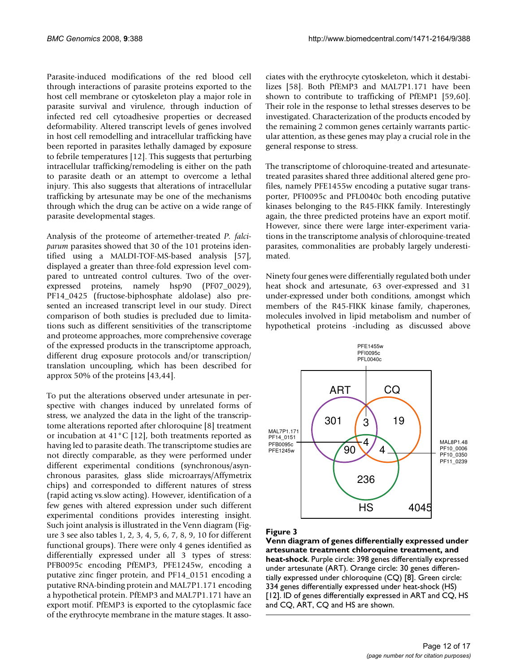Parasite-induced modifications of the red blood cell through interactions of parasite proteins exported to the host cell membrane or cytoskeleton play a major role in parasite survival and virulence, through induction of infected red cell cytoadhesive properties or decreased deformability. Altered transcript levels of genes involved in host cell remodelling and intracellular trafficking have been reported in parasites lethally damaged by exposure to febrile temperatures [12]. This suggests that perturbing intracellular trafficking/remodeling is either on the path to parasite death or an attempt to overcome a lethal injury. This also suggests that alterations of intracellular trafficking by artesunate may be one of the mechanisms through which the drug can be active on a wide range of parasite developmental stages.

Analysis of the proteome of artemether-treated *P. falciparum* parasites showed that 30 of the 101 proteins identified using a MALDI-TOF-MS-based analysis [\[57](#page-15-6)], displayed a greater than three-fold expression level compared to untreated control cultures. Two of the overexpressed proteins, namely hsp90 (PF07\_0029), PF14\_0425 (fructose-biphosphate aldolase) also presented an increased transcript level in our study. Direct comparison of both studies is precluded due to limitations such as different sensitivities of the transcriptome and proteome approaches, more comprehensive coverage of the expressed products in the transcriptome approach, different drug exposure protocols and/or transcription/ translation uncoupling, which has been described for approx 50% of the proteins [43,[44\]](#page-15-5).

To put the alterations observed under artesunate in perspective with changes induced by unrelated forms of stress, we analyzed the data in the light of the transcriptome alterations reported after chloroquine [[8](#page-14-1)] treatment or incubation at 41°C [12], both treatments reported as having led to parasite death. The transcriptome studies are not directly comparable, as they were performed under different experimental conditions (synchronous/asynchronous parasites, glass slide microarrays/Affymetrix chips) and corresponded to different natures of stress (rapid acting vs.slow acting). However, identification of a few genes with altered expression under such different experimental conditions provides interesting insight. Such joint analysis is illustrated in the Venn diagram (Figure 3 see also tables 1, 2, 3, 4, 5, 6, 7, 8, 9, 10 for different functional groups). There were only 4 genes identified as differentially expressed under all 3 types of stress: PFB0095c encoding PfEMP3, PFE1245w, encoding a putative zinc finger protein, and PF14\_0151 encoding a putative RNA-binding protein and MAL7P1.171 encoding a hypothetical protein. PfEMP3 and MAL7P1.171 have an export motif. PfEMP3 is exported to the cytoplasmic face of the erythrocyte membrane in the mature stages. It associates with the erythrocyte cytoskeleton, which it destabilizes [\[58](#page-15-7)]. Both PfEMP3 and MAL7P1.171 have been shown to contribute to trafficking of PfEMP1 [59,60]. Their role in the response to lethal stresses deserves to be investigated. Characterization of the products encoded by the remaining 2 common genes certainly warrants particular attention, as these genes may play a crucial role in the general response to stress.

The transcriptome of chloroquine-treated and artesunatetreated parasites shared three additional altered gene profiles, namely PFE1455w encoding a putative sugar transporter, PFI0095c and PFL0040c both encoding putative kinases belonging to the R45-FIKK family. Interestingly again, the three predicted proteins have an export motif. However, since there were large inter-experiment variations in the transcriptome analysis of chloroquine-treated parasites, commonalities are probably largely underestimated.

Ninety four genes were differentially regulated both under heat shock and artesunate, 63 over-expressed and 31 under-expressed under both conditions, amongst which members of the R45-FIKK kinase family, chaperones, molecules involved in lipid metabolism and number of hypothetical proteins -including as discussed above



# Figure 3

**Venn diagram of genes differentially expressed under artesunate treatment chloroquine treatment, and heat-shock**. Purple circle: 398 genes differentially expressed under artesunate (ART). Orange circle: 30 genes differentially expressed under chloroquine (CQ) [[8\]](#page-14-1). Green circle: 334 genes differentially expressed under heat-shock (HS) [12]. ID of genes differentially expressed in ART and CQ, HS and CQ, ART, CQ and HS are shown.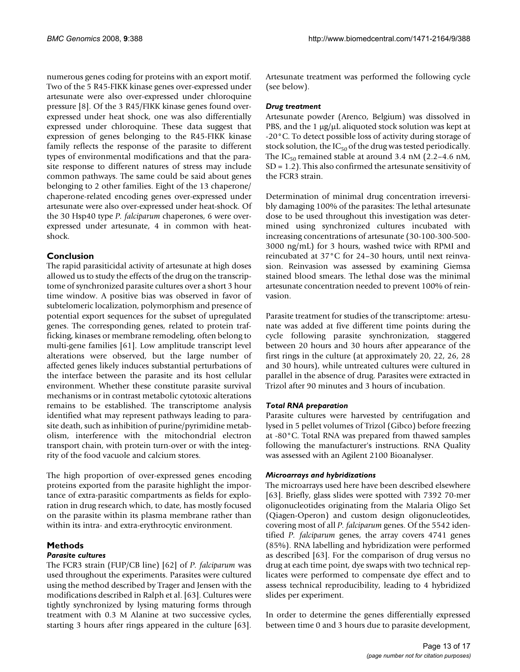numerous genes coding for proteins with an export motif. Two of the 5 R45-FIKK kinase genes over-expressed under artesunate were also over-expressed under chloroquine pressure [[8](#page-14-1)]. Of the 3 R45/FIKK kinase genes found overexpressed under heat shock, one was also differentially expressed under chloroquine. These data suggest that expression of genes belonging to the R45-FIKK kinase family reflects the response of the parasite to different types of environmental modifications and that the parasite response to different natures of stress may include common pathways. The same could be said about genes belonging to 2 other families. Eight of the 13 chaperone/ chaperone-related encoding genes over-expressed under artesunate were also over-expressed under heat-shock. Of the 30 Hsp40 type *P. falciparum* chaperones, 6 were overexpressed under artesunate, 4 in common with heatshock.

### **Conclusion**

The rapid parasiticidal activity of artesunate at high doses allowed us to study the effects of the drug on the transcriptome of synchronized parasite cultures over a short 3 hour time window. A positive bias was observed in favor of subtelomeric localization, polymorphism and presence of potential export sequences for the subset of upregulated genes. The corresponding genes, related to protein trafficking, kinases or membrane remodeling, often belong to multi-gene families [61]. Low amplitude transcript level alterations were observed, but the large number of affected genes likely induces substantial perturbations of the interface between the parasite and its host cellular environment. Whether these constitute parasite survival mechanisms or in contrast metabolic cytotoxic alterations remains to be established. The transcriptome analysis identified what may represent pathways leading to parasite death, such as inhibition of purine/pyrimidine metabolism, interference with the mitochondrial electron transport chain, with protein turn-over or with the integrity of the food vacuole and calcium stores.

The high proportion of over-expressed genes encoding proteins exported from the parasite highlight the importance of extra-parasitic compartments as fields for exploration in drug research which, to date, has mostly focused on the parasite within its plasma membrane rather than within its intra- and extra-erythrocytic environment.

# **Methods**

#### *Parasite cultures*

The FCR3 strain (FUP/CB line) [\[62](#page-15-8)] of *P. falciparum* was used throughout the experiments. Parasites were cultured using the method described by Trager and Jensen with the modifications described in Ralph et al. [63]. Cultures were tightly synchronized by lysing maturing forms through treatment with 0.3 M Alanine at two successive cycles, starting 3 hours after rings appeared in the culture [63].

Artesunate treatment was performed the following cycle (see below).

#### *Drug treatment*

Artesunate powder (Arenco, Belgium) was dissolved in PBS, and the 1 μg/μL aliquoted stock solution was kept at -20°C. To detect possible loss of activity during storage of stock solution, the  $IC_{50}$  of the drug was tested periodically. The  $IC_{50}$  remained stable at around 3.4 nM (2.2–4.6 nM, SD = 1.2). This also confirmed the artesunate sensitivity of the FCR3 strain.

Determination of minimal drug concentration irreversibly damaging 100% of the parasites: The lethal artesunate dose to be used throughout this investigation was determined using synchronized cultures incubated with increasing concentrations of artesunate (30-100-300-500- 3000 ng/mL) for 3 hours, washed twice with RPMI and reincubated at 37°C for 24–30 hours, until next reinvasion. Reinvasion was assessed by examining Giemsa stained blood smears. The lethal dose was the minimal artesunate concentration needed to prevent 100% of reinvasion.

Parasite treatment for studies of the transcriptome: artesunate was added at five different time points during the cycle following parasite synchronization, staggered between 20 hours and 30 hours after appearance of the first rings in the culture (at approximately 20, 22, 26, 28 and 30 hours), while untreated cultures were cultured in parallel in the absence of drug. Parasites were extracted in Trizol after 90 minutes and 3 hours of incubation.

#### *Total RNA preparation*

Parasite cultures were harvested by centrifugation and lysed in 5 pellet volumes of Trizol (Gibco) before freezing at -80°C. Total RNA was prepared from thawed samples following the manufacturer's instructions. RNA Quality was assessed with an Agilent 2100 Bioanalyser.

#### *Microarrays and hybridizations*

The microarrays used here have been described elsewhere [63]. Briefly, glass slides were spotted with 7392 70-mer oligonucleotides originating from the Malaria Oligo Set (Qiagen-Operon) and custom design oligonucleotides, covering most of all *P. falciparum* genes. Of the 5542 identified *P. falciparum* genes, the array covers 4741 genes (85%). RNA labelling and hybridization were performed as described [63]. For the comparison of drug versus no drug at each time point, dye swaps with two technical replicates were performed to compensate dye effect and to assess technical reproducibility, leading to 4 hybridized slides per experiment.

In order to determine the genes differentially expressed between time 0 and 3 hours due to parasite development,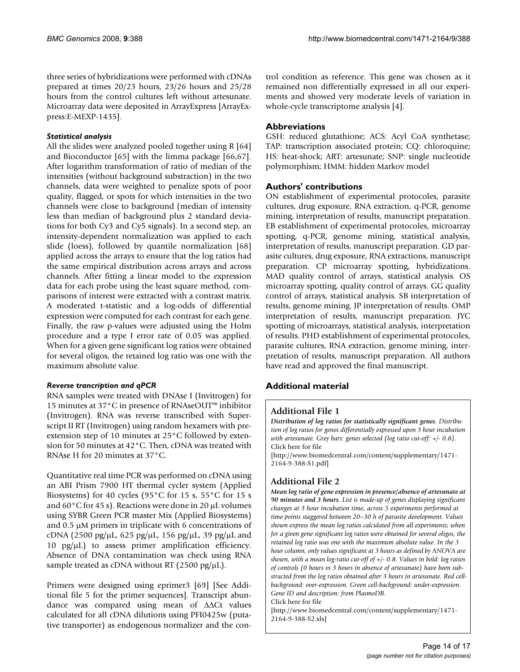three series of hybridizations were performed with cDNAs prepared at times 20/23 hours, 23/26 hours and 25/28 hours from the control cultures left without artesunate. Microarray data were deposited in ArrayExpress [ArrayExpress:E-MEXP-1435].

#### *Statistical analysis*

All the slides were analyzed pooled together using R [64] and Bioconductor [65] with the limma package [66,67]. After logarithm transformation of ratio of median of the intensities (without background substraction) in the two channels, data were weighted to penalize spots of poor quality, flagged, or spots for which intensities in the two channels were close to background (median of intensity less than median of background plus 2 standard deviations for both Cy3 and Cy5 signals). In a second step, an intensity-dependent normalization was applied to each slide (loess), followed by quantile normalization [68] applied across the arrays to ensure that the log ratios had the same empirical distribution across arrays and across channels. After fitting a linear model to the expression data for each probe using the least square method, comparisons of interest were extracted with a contrast matrix. A moderated t-statistic and a log-odds of differential expression were computed for each contrast for each gene. Finally, the raw p-values were adjusted using the Holm procedure and a type I error rate of 0.05 was applied. When for a given gene significant log ratios were obtained for several oligos, the retained log ratio was one with the maximum absolute value.

#### *Reverse trancription and qPCR*

RNA samples were treated with DNAse I (Invitrogen) for 15 minutes at 37°C in presence of RNAseOUT™ inhibitor (Invitrogen). RNA was reverse transcribed with Superscript II RT (Invitrogen) using random hexamers with preextension step of 10 minutes at 25°C followed by extension for 50 minutes at 42°C. Then, cDNA was treated with RNAse H for 20 minutes at 37°C.

Quantitative real time PCR was performed on cDNA using an ABI Prism 7900 HT thermal cycler system (Applied Biosystems) for 40 cycles (95°C for 15 s, 55°C for 15 s and 60°C for 45 s). Reactions were done in 20 μL volumes using SYBR Green PCR master Mix (Applied Biosystems) and 0.5 μM primers in triplicate with 6 concentrations of cDNA (2500 pg/ $\mu$ L, 625 pg/ $\mu$ L, 156 pg/ $\mu$ L, 39 pg/ $\mu$ L and 10 pg/μL) to assess primer amplification efficiency. Absence of DNA contamination was check using RNA sample treated as cDNA without RT (2500 pg/ $\mu$ L).

Primers were designed using eprimer3 [69] [See Additional file 5 for the primer sequences]. Transcript abundance was compared using mean of ΔΔCt values calculated for all cDNA dilutions using PFI0425w (putative transporter) as endogenous normalizer and the control condition as reference. This gene was chosen as it remained non differentially expressed in all our experiments and showed very moderate levels of variation in whole-cycle transcriptome analysis [4].

# **Abbreviations**

GSH: reduced glutathione; ACS: Acyl CoA synthetase; TAP: transcription associated protein; CQ: chloroquine; HS: heat-shock; ART: artesunate; SNP: single nucleotide polymorphism; HMM: hidden Markov model

### **Authors' contributions**

ON establishment of experimental protocoles, parasite cultures, drug exposure, RNA extraction, q-PCR, genome mining, interpretation of results, manuscript preparation. EB establishment of experimental protocoles, microarray spotting, q-PCR, genome mining, statistical analysis, interpretation of results, manuscript preparation. GD parasite cultures, drug exposure, RNA extractions, manuscript preparation. CP microarray spotting, hybridizations. MAD quality control of arrays, statistical analysis. OS microarray spotting, quality control of arrays. GG quality control of arrays, statistical analysis. SB interpretation of results, genome mining. JP interpretation of results. OMP interpretation of results, manuscript preparation. JYC spotting of microarrays, statistical analysis, interpretation of results. PHD establishment of experimental protocoles, parasite cultures, RNA extraction, genome mining, interpretation of results, manuscript preparation. All authors have read and approved the final manuscript.

# **Additional material**

# **Additional File 1**

*Distribution of log ratios for statistically significant genes. Distribution of log ratios for genes differentially expressed upon 3 hour incubation with artesunate. Grey bars: genes selected (log ratio cut-off: +/- 0.8).* Click here for file

[\[http://www.biomedcentral.com/content/supplementary/1471-](http://www.biomedcentral.com/content/supplementary/1471-2164-9-388-S1.pdf) 2164-9-388-S1.pdf]

# **Additional File 2**

*Mean log ratio of gene expression in presence/absence of artesunate at 90 minutes and 3 hours. List is made-up of genes displaying significant changes at 3 hour incubation time, across 5 experiments performed at time points staggered between 20–30 h of parasite development. Values shown express the mean log ratios calculated from all experiments; when for a given gene significant log ratios were obtained for several oligos, the retained log ratio was one with the maximum absolute value. In the 3 hour column, only values significant at 3 hours as defined by ANOVA are shown, with a mean log-ratio cut-off of +/- 0.8. Values in bold: log ratios of controls (0 hours vs 3 hours in absence of artesunate) have been substracted from the log ratios obtained after 3 hours in artesunate. Red cellbackground: over-expression. Green cell-background: under-expression. Gene ID and description: from PlasmoDB.* Click here for file

[\[http://www.biomedcentral.com/content/supplementary/1471-](http://www.biomedcentral.com/content/supplementary/1471-2164-9-388-S2.xls) 2164-9-388-S2.xls]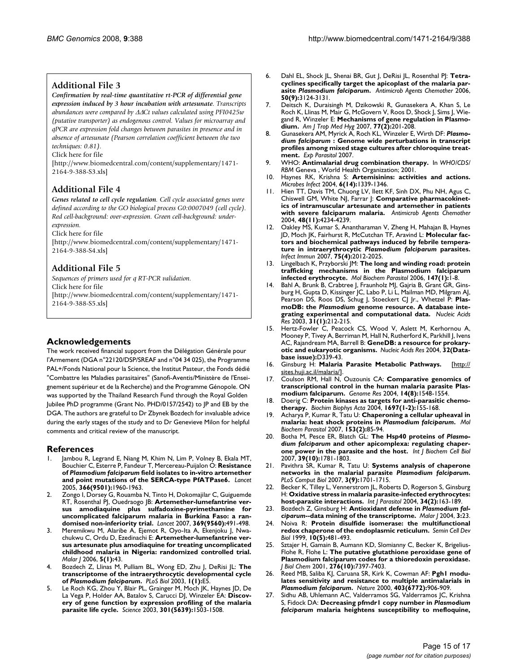#### **Additional File 3**

*Confirmation by real-time quantitative rt-PCR of differential gene expression induced by 3 hour incubation with artesunate. Transcripts abundances were compared by* ΔΔ*Ct values calculated using PFI0425w (putative transporter) as endogenous control. Values for microarray and qPCR are expression fold changes between parasites in presence and in absence of artesunate (Pearson correlation coefficient between the two techniques: 0.81).*

Click here for file

[\[http://www.biomedcentral.com/content/supplementary/1471-](http://www.biomedcentral.com/content/supplementary/1471-2164-9-388-S3.xls) 2164-9-388-S3.xls]

# **Additional File 4**

*Genes related to cell cycle regulation. Cell cycle associated genes were defined according to the GO biological process G0:0007049 (cell cycle). Red cell-background: over-expression. Green cell-background: underexpression.*

Click here for file

[\[http://www.biomedcentral.com/content/supplementary/1471-](http://www.biomedcentral.com/content/supplementary/1471-2164-9-388-S4.xls) 2164-9-388-S4.xls]

### **Additional File 5**

*Sequences of primers used for q RT-PCR validation.* Click here for file

[\[http://www.biomedcentral.com/content/supplementary/1471-](http://www.biomedcentral.com/content/supplementary/1471-2164-9-388-S5.xls) 2164-9-388-S5.xls]

#### **Acknowledgements**

The work received financial support from the Délégation Générale pour l'Armement (DGA n°22120/DSP/SREAF and n°04 34 025), the Programme PAL+/Fonds National pour la Science, the Institut Pasteur, the Fonds dédié "Combattre les Maladies parasitaires" (Sanofi-Aventis/Ministère de l'Enseignement supérieur et de la Recherche) and the Programme Génopole. ON was supported by the Thailand Research Fund through the Royal Golden Jubilee PhD programme (Grant No. PHD/0157/2542) to JP and EB by the DGA. The authors are grateful to Dr Zbynek Bozdech for invaluable advice during the early stages of the study and to Dr Genevieve Milon for helpful comments and critical review of the manuscript.

#### **References**

- <span id="page-14-0"></span>Jambou R, Legrand E, Niang M, Khim N, Lim P, Volney B, Ekala MT, Bouchier C, Esterre P, Fandeur T, Mercereau-Puijalon O: **Resistance of** *Plasmodium falciparum* **[field isolates to in-vitro artemether](http://www.ncbi.nlm.nih.gov/entrez/query.fcgi?cmd=Retrieve&db=PubMed&dopt=Abstract&list_uids=16325698) [and point mutations of the SERCA-type PfATPase6.](http://www.ncbi.nlm.nih.gov/entrez/query.fcgi?cmd=Retrieve&db=PubMed&dopt=Abstract&list_uids=16325698)** *Lancet* 2005, **366(9501):**1960-1963.
- 2. Zongo I, Dorsey G, Rouamba N, Tinto H, Dokomajilar C, Guiguemde RT, Rosenthal PJ, Ouedraogo JB: **[Artemether-lumefantrine ver](http://www.ncbi.nlm.nih.gov/entrez/query.fcgi?cmd=Retrieve&db=PubMed&dopt=Abstract&list_uids=17292769)[sus amodiaquine plus sulfadoxine-pyrimethamine for](http://www.ncbi.nlm.nih.gov/entrez/query.fcgi?cmd=Retrieve&db=PubMed&dopt=Abstract&list_uids=17292769) uncomplicated falciparum malaria in Burkina Faso: a ran[domised non-inferiority trial.](http://www.ncbi.nlm.nih.gov/entrez/query.fcgi?cmd=Retrieve&db=PubMed&dopt=Abstract&list_uids=17292769)** *Lancet* 2007, **369(9560):**491-498.
- 3. Meremikwu M, Alaribe A, Ejemot R, Oyo-Ita A, Ekenjoku J, Nwachukwu C, Ordu D, Ezedinachi E: **[Artemether-lumefantrine ver](http://www.ncbi.nlm.nih.gov/entrez/query.fcgi?cmd=Retrieve&db=PubMed&dopt=Abstract&list_uids=16704735)[sus artesunate plus amodiaquine for treating uncomplicated](http://www.ncbi.nlm.nih.gov/entrez/query.fcgi?cmd=Retrieve&db=PubMed&dopt=Abstract&list_uids=16704735) childhood malaria in Nigeria: randomized controlled trial.** *Malar J* 2006, **5(1):**43.
- 4. Bozdech Z, Llinas M, Pulliam BL, Wong ED, Zhu J, DeRisi JL: **The transcriptome of the intraerythrocytic developmental cycle of** *Plasmodium falciparum***[.](http://www.ncbi.nlm.nih.gov/entrez/query.fcgi?cmd=Retrieve&db=PubMed&dopt=Abstract&list_uids=12929205)** *PLoS Biol* 2003, **1(1):**E5.
- 5. Le Roch KG, Zhou Y, Blair PL, Grainger M, Moch JK, Haynes JD, De La Vega P, Holder AA, Batalov S, Carucci DJ, Winzeler EA: **[Discov](http://www.ncbi.nlm.nih.gov/entrez/query.fcgi?cmd=Retrieve&db=PubMed&dopt=Abstract&list_uids=12893887)[ery of gene function by expression profiling of the malaria](http://www.ncbi.nlm.nih.gov/entrez/query.fcgi?cmd=Retrieve&db=PubMed&dopt=Abstract&list_uids=12893887) [parasite life cycle.](http://www.ncbi.nlm.nih.gov/entrez/query.fcgi?cmd=Retrieve&db=PubMed&dopt=Abstract&list_uids=12893887)** *Science* 2003, **301(5639):**1503-1508.
- 6. Dahl EL, Shock JL, Shenai BR, Gut J, DeRisi JL, Rosenthal PJ: **Tetracyclines specifically target the apicoplast of the malaria parasite** *Plasmodium falciparum***[.](http://www.ncbi.nlm.nih.gov/entrez/query.fcgi?cmd=Retrieve&db=PubMed&dopt=Abstract&list_uids=16940111)** *Antimicrob Agents Chemother* 2006, **50(9):**3124-3131.
- 7. Deitsch K, Duraisingh M, Dzikowski R, Gunasekera A, Khan S, Le Roch K, Llinas M, Mair G, McGovern V, Roos D, Shock J, Sims J, Wiegand R, Winzeler E: **[Mechanisms of gene regulation in Plasmo](http://www.ncbi.nlm.nih.gov/entrez/query.fcgi?cmd=Retrieve&db=PubMed&dopt=Abstract&list_uids=17690387)[dium.](http://www.ncbi.nlm.nih.gov/entrez/query.fcgi?cmd=Retrieve&db=PubMed&dopt=Abstract&list_uids=17690387)** *Am J Trop Med Hyg* 2007, **77(2):**201-208.
- <span id="page-14-1"></span>8. Gunasekera AM, Myrick A, Roch KL, Winzeler E, Wirth DF: *Plasmodium falciparum* **[: Genome wide perturbations in transcript](http://www.ncbi.nlm.nih.gov/entrez/query.fcgi?cmd=Retrieve&db=PubMed&dopt=Abstract&list_uids=17475254) [profiles among mixed stage cultures after chloroquine treat](http://www.ncbi.nlm.nih.gov/entrez/query.fcgi?cmd=Retrieve&db=PubMed&dopt=Abstract&list_uids=17475254)[ment.](http://www.ncbi.nlm.nih.gov/entrez/query.fcgi?cmd=Retrieve&db=PubMed&dopt=Abstract&list_uids=17475254)** *Exp Parasitol* 2007.
- 9. WHO: **Antimalarial drug combination therapy.** In *WHO/CDS/ RBM* Geneva , World Health Organization; 2001.
- 10. Haynes RK, Krishna S: **[Artemisinins: activities and actions.](http://www.ncbi.nlm.nih.gov/entrez/query.fcgi?cmd=Retrieve&db=PubMed&dopt=Abstract&list_uids=15555542)** *Microbes Infect* 2004, **6(14):**1339-1346.
- 11. Hien TT, Davis TM, Chuong LV, Ilett KF, Sinh DX, Phu NH, Agus C, Chiswell GM, White NJ, Farrar J: **[Comparative pharmacokinet](http://www.ncbi.nlm.nih.gov/entrez/query.fcgi?cmd=Retrieve&db=PubMed&dopt=Abstract&list_uids=15504846)[ics of intramuscular artesunate and artemether in patients](http://www.ncbi.nlm.nih.gov/entrez/query.fcgi?cmd=Retrieve&db=PubMed&dopt=Abstract&list_uids=15504846) [with severe falciparum malaria.](http://www.ncbi.nlm.nih.gov/entrez/query.fcgi?cmd=Retrieve&db=PubMed&dopt=Abstract&list_uids=15504846)** *Antimicrob Agents Chemother* 2004, **48(11):**4234-4239.
- 12. Oakley MS, Kumar S, Anantharaman V, Zheng H, Mahajan B, Haynes JD, Moch JK, Fairhurst R, McCutchan TF, Aravind L: **Molecular factors and biochemical pathways induced by febrile temperature in intraerythrocytic** *Plasmodium falciparum* **[parasites.](http://www.ncbi.nlm.nih.gov/entrez/query.fcgi?cmd=Retrieve&db=PubMed&dopt=Abstract&list_uids=17283083)** *Infect Immun* 2007, **75(4):**2012-2025.
- Lingelbach K, Przyborski JM: [The long and winding road: protein](http://www.ncbi.nlm.nih.gov/entrez/query.fcgi?cmd=Retrieve&db=PubMed&dopt=Abstract&list_uids=16540187) **[trafficking mechanisms in the Plasmodium falciparum](http://www.ncbi.nlm.nih.gov/entrez/query.fcgi?cmd=Retrieve&db=PubMed&dopt=Abstract&list_uids=16540187) [infected erythrocyte.](http://www.ncbi.nlm.nih.gov/entrez/query.fcgi?cmd=Retrieve&db=PubMed&dopt=Abstract&list_uids=16540187)** *Mol Biochem Parasitol* 2006, **147(1):**1-8.
- 14. Bahl A, Brunk B, Crabtree J, Fraunholz MJ, Gajria B, Grant GR, Ginsburg H, Gupta D, Kissinger JC, Labo P, Li L, Mailman MD, Milgram AJ, Pearson DS, Roos DS, Schug J, Stoeckert CJ Jr., Whetzel P: **PlasmoDB: the** *Plasmodium* **[genome resource. A database inte](http://www.ncbi.nlm.nih.gov/entrez/query.fcgi?cmd=Retrieve&db=PubMed&dopt=Abstract&list_uids=12519984)[grating experimental and computational data.](http://www.ncbi.nlm.nih.gov/entrez/query.fcgi?cmd=Retrieve&db=PubMed&dopt=Abstract&list_uids=12519984)** *Nucleic Acids Res* 2003, **31(1):**212-215.
- Hertz-Fowler C, Peacock CS, Wood V, Aslett M, Kerhornou A, Mooney P, Tivey A, Berriman M, Hall N, Rutherford K, Parkhill J, Ivens AC, Rajandream MA, Barrell B: **[GeneDB: a resource for prokary](http://www.ncbi.nlm.nih.gov/entrez/query.fcgi?cmd=Retrieve&db=PubMed&dopt=Abstract&list_uids=14681429)[otic and eukaryotic organisms.](http://www.ncbi.nlm.nih.gov/entrez/query.fcgi?cmd=Retrieve&db=PubMed&dopt=Abstract&list_uids=14681429)** *Nucleic Acids Res* 2004, **32(Database issue):**D339-43.
- 16. Ginsburg H: **Malaria Parasite Metabolic Pathways.** [\[http://](http://sites.huji.ac.il/malaria/) [sites.huji.ac.il/malaria/](http://sites.huji.ac.il/malaria/)].
- 17. Coulson RM, Hall N, Ouzounis CA: **[Comparative genomics of](http://www.ncbi.nlm.nih.gov/entrez/query.fcgi?cmd=Retrieve&db=PubMed&dopt=Abstract&list_uids=15256513) [transcriptional control in the human malaria parasite Plas](http://www.ncbi.nlm.nih.gov/entrez/query.fcgi?cmd=Retrieve&db=PubMed&dopt=Abstract&list_uids=15256513)[modium falciparum.](http://www.ncbi.nlm.nih.gov/entrez/query.fcgi?cmd=Retrieve&db=PubMed&dopt=Abstract&list_uids=15256513)** *Genome Res* 2004, **14(8):**1548-1554.
- 18. Doerig C: **[Protein kinases as targets for anti-parasitic chemo](http://www.ncbi.nlm.nih.gov/entrez/query.fcgi?cmd=Retrieve&db=PubMed&dopt=Abstract&list_uids=15023358)[therapy.](http://www.ncbi.nlm.nih.gov/entrez/query.fcgi?cmd=Retrieve&db=PubMed&dopt=Abstract&list_uids=15023358)** *Biochim Biophys Acta* 2004, **1697(1-2):**155-168.
- 19. Acharya P, Kumar R, Tatu U: **Chaperoning a cellular upheaval in malaria: heat shock proteins in** *Plasmodium falciparum***[.](http://www.ncbi.nlm.nih.gov/entrez/query.fcgi?cmd=Retrieve&db=PubMed&dopt=Abstract&list_uids=17307260)** *Mol Biochem Parasitol* 2007, **153(2):**85-94.
- <span id="page-14-2"></span>20. Botha M, Pesce ER, Blatch GL: **The Hsp40 proteins of** *Plasmodium falciparum* **[and other apicomplexa: regulating chaper](http://www.ncbi.nlm.nih.gov/entrez/query.fcgi?cmd=Retrieve&db=PubMed&dopt=Abstract&list_uids=17428722)[one power in the parasite and the host.](http://www.ncbi.nlm.nih.gov/entrez/query.fcgi?cmd=Retrieve&db=PubMed&dopt=Abstract&list_uids=17428722)** *Int J Biochem Cell Biol* 2007, **39(10):**1781-1803.
- 21. Pavithra SR, Kumar R, Tatu U: **Systems analysis of chaperone networks in the malarial parasite** *Plasmodium falciparum***[.](http://www.ncbi.nlm.nih.gov/entrez/query.fcgi?cmd=Retrieve&db=PubMed&dopt=Abstract&list_uids=17941702)** *PLoS Comput Biol* 2007, **3(9):**1701-1715.
- 22. Becker K, Tilley L, Vennerstrom JL, Roberts D, Rogerson S, Ginsburg H: **[Oxidative stress in malaria parasite-infected erythrocytes:](http://www.ncbi.nlm.nih.gov/entrez/query.fcgi?cmd=Retrieve&db=PubMed&dopt=Abstract&list_uids=15037104) [host-parasite interactions.](http://www.ncbi.nlm.nih.gov/entrez/query.fcgi?cmd=Retrieve&db=PubMed&dopt=Abstract&list_uids=15037104)** *Int J Parasitol* 2004, **34(2):**163-189.
- 23. Bozdech Z, Ginsburg H: **Antioxidant defense in** *Plasmodium falciparum***[--data mining of the transcriptome.](http://www.ncbi.nlm.nih.gov/entrez/query.fcgi?cmd=Retrieve&db=PubMed&dopt=Abstract&list_uids=15245577)** *Malar J* 2004, **3:**23.
- 24. Noiva R: **[Protein disulfide isomerase: the multifunctional](http://www.ncbi.nlm.nih.gov/entrez/query.fcgi?cmd=Retrieve&db=PubMed&dopt=Abstract&list_uids=10597631) [redox chaperone of the endoplasmic reticulum.](http://www.ncbi.nlm.nih.gov/entrez/query.fcgi?cmd=Retrieve&db=PubMed&dopt=Abstract&list_uids=10597631)** *Semin Cell Dev Biol* 1999, **10(5):**481-493.
- 25. Sztajer H, Gamain B, Aumann KD, Slomianny C, Becker K, Brigelius-Flohe R, Flohe L: **[The putative glutathione peroxidase gene of](http://www.ncbi.nlm.nih.gov/entrez/query.fcgi?cmd=Retrieve&db=PubMed&dopt=Abstract&list_uids=11087748) [Plasmodium falciparum codes for a thioredoxin peroxidase.](http://www.ncbi.nlm.nih.gov/entrez/query.fcgi?cmd=Retrieve&db=PubMed&dopt=Abstract&list_uids=11087748)** *J Biol Chem* 2001, **276(10):**7397-7403.
- 26. Reed MB, Saliba KJ, Caruana SR, Kirk K, Cowman AF: **Pgh1 modulates sensitivity and resistance to multiple antimalarials in** *Plasmodium falciparum***[.](http://www.ncbi.nlm.nih.gov/entrez/query.fcgi?cmd=Retrieve&db=PubMed&dopt=Abstract&list_uids=10706290)** *Nature* 2000, **403(6772):**906-909.
- 27. Sidhu AB, Uhlemann AC, Valderramos SG, Valderramos JC, Krishna S, Fidock DA: **Decreasing pfmdr1 copy number in** *Plasmodium falciparum* **[malaria heightens susceptibility to mefloquine,](http://www.ncbi.nlm.nih.gov/entrez/query.fcgi?cmd=Retrieve&db=PubMed&dopt=Abstract&list_uids=16845638)**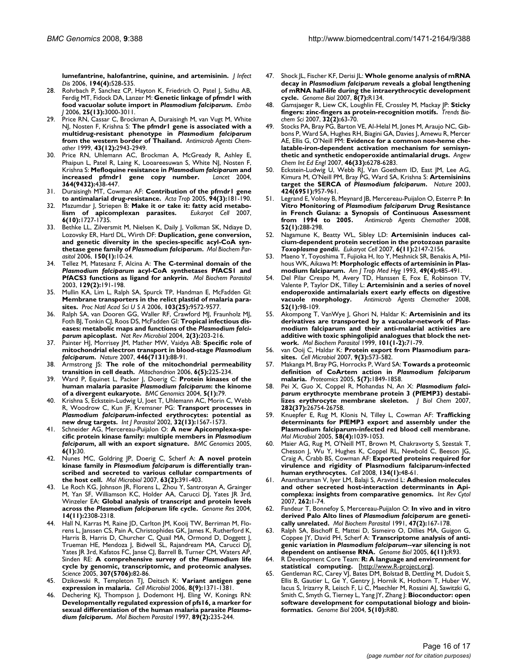**[lumefantrine, halofantrine, quinine, and artemisinin.](http://www.ncbi.nlm.nih.gov/entrez/query.fcgi?cmd=Retrieve&db=PubMed&dopt=Abstract&list_uids=16845638)** *J Infect* Dis 2006, 194(4):528-53

- 28. Rohrbach P, Sanchez CP, Hayton K, Friedrich O, Patel J, Sidhu AB, Ferdig MT, Fidock DA, Lanzer M: **Genetic linkage of pfmdr1 with food vacuolar solute import in** *Plasmodium falciparum***[.](http://www.ncbi.nlm.nih.gov/entrez/query.fcgi?cmd=Retrieve&db=PubMed&dopt=Abstract&list_uids=16794577)** *Embo J* 2006, **25(13):**3000-3011.
- 29. Price RN, Cassar C, Brockman A, Duraisingh M, van Vugt M, White NJ, Nosten F, Krishna S: **The pfmdr1 gene is associated with a multidrug-resistant phenotype in** *Plasmodium falciparum* **[from the western border of Thailand.](http://www.ncbi.nlm.nih.gov/entrez/query.fcgi?cmd=Retrieve&db=PubMed&dopt=Abstract&list_uids=10582887)** *Antimicrob Agents Chemother* 1999, **43(12):**2943-2949.
- <span id="page-15-0"></span>Price RN, Uhlemann AC, Brockman A, McGready R, Ashley E, Phaipun L, Patel R, Laing K, Looareesuwan S, White NJ, Nosten F, Krishna S: **Mefloquine resistance in** *Plasmodium falciparum* **[and](http://www.ncbi.nlm.nih.gov/entrez/query.fcgi?cmd=Retrieve&db=PubMed&dopt=Abstract&list_uids=15288742) [increased pfmdr1 gene copy number.](http://www.ncbi.nlm.nih.gov/entrez/query.fcgi?cmd=Retrieve&db=PubMed&dopt=Abstract&list_uids=15288742)** *Lancet* 2004, **364(9432):**438-447.
- 31. Duraisingh MT, Cowman AF: **[Contribution of the pfmdr1 gene](http://www.ncbi.nlm.nih.gov/entrez/query.fcgi?cmd=Retrieve&db=PubMed&dopt=Abstract&list_uids=15876420) [to antimalarial drug-resistance.](http://www.ncbi.nlm.nih.gov/entrez/query.fcgi?cmd=Retrieve&db=PubMed&dopt=Abstract&list_uids=15876420)** *Acta Trop* 2005, **94(3):**181-190.
- 32. Mazumdar J, Striepen B: **[Make it or take it: fatty acid metabo](http://www.ncbi.nlm.nih.gov/entrez/query.fcgi?cmd=Retrieve&db=PubMed&dopt=Abstract&list_uids=17715365)[lism of apicomplexan parasites.](http://www.ncbi.nlm.nih.gov/entrez/query.fcgi?cmd=Retrieve&db=PubMed&dopt=Abstract&list_uids=17715365)** *Eukaryot Cell* 2007, **6(10):**1727-1735.
- 33. Bethke LL, Zilversmit M, Nielsen K, Daily J, Volkman SK, Ndiaye D, Lozovsky ER, Hartl DL, Wirth DF: **Duplication, gene conversion, and genetic diversity in the species-specific acyl-CoA synthetase gene family of** *Plasmodium falciparum***[.](http://www.ncbi.nlm.nih.gov/entrez/query.fcgi?cmd=Retrieve&db=PubMed&dopt=Abstract&list_uids=16860410)** *Mol Biochem Parasitol* 2006, **150(1):**10-24.
- <span id="page-15-1"></span>34. Tellez M, Matesanz F, Alcina A: **The C-terminal domain of the** *Plasmodium falciparum* **[acyl-CoA synthetases PfACS1 and](http://www.ncbi.nlm.nih.gov/entrez/query.fcgi?cmd=Retrieve&db=PubMed&dopt=Abstract&list_uids=12850263) [PfACS3 functions as ligand for ankyrin.](http://www.ncbi.nlm.nih.gov/entrez/query.fcgi?cmd=Retrieve&db=PubMed&dopt=Abstract&list_uids=12850263)** *Mol Biochem Parasitol* 2003, **129(2):**191-198.
- 35. Mullin KA, Lim L, Ralph SA, Spurck TP, Handman E, McFadden GI: **[Membrane transporters in the relict plastid of malaria para](http://www.ncbi.nlm.nih.gov/entrez/query.fcgi?cmd=Retrieve&db=PubMed&dopt=Abstract&list_uids=16760253)[sites.](http://www.ncbi.nlm.nih.gov/entrez/query.fcgi?cmd=Retrieve&db=PubMed&dopt=Abstract&list_uids=16760253)** *Proc Natl Acad Sci U S A* 2006, **103(25):**9572-9577.
- <span id="page-15-2"></span>36. Ralph SA, van Dooren GG, Waller RF, Crawford MJ, Fraunholz MJ, Foth BJ, Tonkin CJ, Roos DS, McFadden GI: **Tropical infectious diseases: metabolic maps and functions of the** *Plasmodium falciparum* **[apicoplast.](http://www.ncbi.nlm.nih.gov/entrez/query.fcgi?cmd=Retrieve&db=PubMed&dopt=Abstract&list_uids=15083156)** *Nat Rev Microbiol* 2004, **2(3):**203-216.
- 37. Painter HJ, Morrisey JM, Mather MW, Vaidya AB: **Specific role of mitochondrial electron transport in blood-stage** *Plasmodium falciparum***[.](http://www.ncbi.nlm.nih.gov/entrez/query.fcgi?cmd=Retrieve&db=PubMed&dopt=Abstract&list_uids=17330044)** *Nature* 2007, **446(7131):**88-91.
- Armstrong JS: [The role of the mitochondrial permeability](http://www.ncbi.nlm.nih.gov/entrez/query.fcgi?cmd=Retrieve&db=PubMed&dopt=Abstract&list_uids=16935572) **[transition in cell death.](http://www.ncbi.nlm.nih.gov/entrez/query.fcgi?cmd=Retrieve&db=PubMed&dopt=Abstract&list_uids=16935572)** *Mitochondrion* 2006, **6(5):**225-234.
- 39. Ward P, Equinet L, Packer J, Doerig C: **Protein kinases of the human malaria parasite** *Plasmodium falciparum***[: the kinome](http://www.ncbi.nlm.nih.gov/entrez/query.fcgi?cmd=Retrieve&db=PubMed&dopt=Abstract&list_uids=15479470) [of a divergent eukaryote.](http://www.ncbi.nlm.nih.gov/entrez/query.fcgi?cmd=Retrieve&db=PubMed&dopt=Abstract&list_uids=15479470)** *BMC Genomics* 2004, **5(1):**79.
- <span id="page-15-3"></span>Krishna S, Eckstein-Ludwig U, Joet T, Uhlemann AC, Morin C, Webb R, Woodrow C, Kun JF, Kremsner PG: **Transport processes in** *Plasmodium falciparum***[-infected erythrocytes: potential as](http://www.ncbi.nlm.nih.gov/entrez/query.fcgi?cmd=Retrieve&db=PubMed&dopt=Abstract&list_uids=12435441) [new drug targets.](http://www.ncbi.nlm.nih.gov/entrez/query.fcgi?cmd=Retrieve&db=PubMed&dopt=Abstract&list_uids=12435441)** *Int J Parasitol* 2002, **32(13):**1567-1573.
- Schneider AG, Mercereau-Puijalon O: A new Apicomplexa-spe**cific protein kinase family: multiple members in** *Plasmodium falciparum***[, all with an export signature.](http://www.ncbi.nlm.nih.gov/entrez/query.fcgi?cmd=Retrieve&db=PubMed&dopt=Abstract&list_uids=15752424)** *BMC Genomics* 2005, **6(1):**30.
- <span id="page-15-4"></span>42. Nunes MC, Goldring JP, Doerig C, Scherf A: **A novel protein kinase family in** *Plasmodium falciparum* **[is differentially tran](http://www.ncbi.nlm.nih.gov/entrez/query.fcgi?cmd=Retrieve&db=PubMed&dopt=Abstract&list_uids=17181785)[scribed and secreted to various cellular compartments of](http://www.ncbi.nlm.nih.gov/entrez/query.fcgi?cmd=Retrieve&db=PubMed&dopt=Abstract&list_uids=17181785) [the host cell.](http://www.ncbi.nlm.nih.gov/entrez/query.fcgi?cmd=Retrieve&db=PubMed&dopt=Abstract&list_uids=17181785)** *Mol Microbiol* 2007, **63(2):**391-403.
- Le Roch KG, Johnson JR, Florens L, Zhou Y, Santrosyan A, Grainger M, Yan SF, Williamson KC, Holder AA, Carucci DJ, Yates JR 3rd, Winzeler EA: **Global analysis of transcript and protein levels across the** *Plasmodium falciparum* **[life cycle.](http://www.ncbi.nlm.nih.gov/entrez/query.fcgi?cmd=Retrieve&db=PubMed&dopt=Abstract&list_uids=15520293)** *Genome Res* 2004, **14(11):**2308-2318.
- <span id="page-15-5"></span>44. Hall N, Karras M, Raine JD, Carlton JM, Kooij TW, Berriman M, Florens L, Janssen CS, Pain A, Christophides GK, James K, Rutherford K, Harris B, Harris D, Churcher C, Quail MA, Ormond D, Doggett J, Trueman HE, Mendoza J, Bidwell SL, Rajandream MA, Carucci DJ, Yates JR 3rd, Kafatos FC, Janse CJ, Barrell B, Turner CM, Waters AP, Sinden RE: **A comprehensive survey of the** *Plasmodium* **[life](http://www.ncbi.nlm.nih.gov/entrez/query.fcgi?cmd=Retrieve&db=PubMed&dopt=Abstract&list_uids=15637271) [cycle by genomic, transcriptomic, and proteomic analyses.](http://www.ncbi.nlm.nih.gov/entrez/query.fcgi?cmd=Retrieve&db=PubMed&dopt=Abstract&list_uids=15637271)** *Science* 2005, **307(5706):**82-86.
- 45. Dzikowski R, Templeton TJ, Deitsch K: **[Variant antigen gene](http://www.ncbi.nlm.nih.gov/entrez/query.fcgi?cmd=Retrieve&db=PubMed&dopt=Abstract&list_uids=16848786) [expression in malaria.](http://www.ncbi.nlm.nih.gov/entrez/query.fcgi?cmd=Retrieve&db=PubMed&dopt=Abstract&list_uids=16848786)** *Cell Microbiol* 2006, **8(9):**1371-1381.
- Dechering KJ, Thompson J, Dodemont HJ, Eling W, Konings RN: **Developmentally regulated expression of pfs16, a marker for sexual differentiation of the human malaria parasite** *Plasmodium falciparum***[.](http://www.ncbi.nlm.nih.gov/entrez/query.fcgi?cmd=Retrieve&db=PubMed&dopt=Abstract&list_uids=9364968)** *Mol Biochem Parasitol* 1997, **89(2):**235-244.
- 47. Shock JL, Fischer KF, Derisi JL: **Whole genome analysis of mRNA decay in** *Plasmodium falciparum* **[reveals a global lengthening](http://www.ncbi.nlm.nih.gov/entrez/query.fcgi?cmd=Retrieve&db=PubMed&dopt=Abstract&list_uids=17612404) [of mRNA half-life during the intraerythrocytic development](http://www.ncbi.nlm.nih.gov/entrez/query.fcgi?cmd=Retrieve&db=PubMed&dopt=Abstract&list_uids=17612404) [cycle.](http://www.ncbi.nlm.nih.gov/entrez/query.fcgi?cmd=Retrieve&db=PubMed&dopt=Abstract&list_uids=17612404)** *Genome Biol* 2007, **8(7):**R134.
- 48. Gamsjaeger R, Liew CK, Loughlin FE, Crossley M, Mackay JP: **[Sticky](http://www.ncbi.nlm.nih.gov/entrez/query.fcgi?cmd=Retrieve&db=PubMed&dopt=Abstract&list_uids=17210253) [fingers: zinc-fingers as protein-recognition motifs.](http://www.ncbi.nlm.nih.gov/entrez/query.fcgi?cmd=Retrieve&db=PubMed&dopt=Abstract&list_uids=17210253)** *Trends Biochem Sci* 2007, **32(2):**63-70.
- Stocks PA, Bray PG, Barton VE, Al-Helal M, Jones M, Araujo NC, Gibbons P, Ward SA, Hughes RH, Biagini GA, Davies J, Amewu R, Mercer AE, Ellis G, O'Neill PM: **[Evidence for a common non-heme che](http://www.ncbi.nlm.nih.gov/entrez/query.fcgi?cmd=Retrieve&db=PubMed&dopt=Abstract&list_uids=17640025)[latable-iron-dependent activation mechanism for semisyn](http://www.ncbi.nlm.nih.gov/entrez/query.fcgi?cmd=Retrieve&db=PubMed&dopt=Abstract&list_uids=17640025)[thetic and synthetic endoperoxide antimalarial drugs.](http://www.ncbi.nlm.nih.gov/entrez/query.fcgi?cmd=Retrieve&db=PubMed&dopt=Abstract&list_uids=17640025)** *Angew Chem Int Ed Engl* 2007, **46(33):**6278-6283.
- 50. Eckstein-Ludwig U, Webb RJ, Van Goethem ID, East JM, Lee AG, Kimura M, O'Neill PM, Bray PG, Ward SA, Krishna S: **Artemisinins target the SERCA of** *Plasmodium falciparum***[.](http://www.ncbi.nlm.nih.gov/entrez/query.fcgi?cmd=Retrieve&db=PubMed&dopt=Abstract&list_uids=12931192)** *Nature* 2003, **424(6951):**957-961.
- 51. Legrand E, Volney B, Meynard JB, Mercereau-Puijalon O, Esterre P: **In Vitro Monitoring of** *Plasmodium falciparum* **[Drug Resistance](http://www.ncbi.nlm.nih.gov/entrez/query.fcgi?cmd=Retrieve&db=PubMed&dopt=Abstract&list_uids=17954693)** [in French Guiana: a Synopsis of Continuous Assessment](http://www.ncbi.nlm.nih.gov/entrez/query.fcgi?cmd=Retrieve&db=PubMed&dopt=Abstract&list_uids=17954693)<br>from 1994 to 2005. Antimicrob Agents Chemother 2008, **[from 1994 to 2005.](http://www.ncbi.nlm.nih.gov/entrez/query.fcgi?cmd=Retrieve&db=PubMed&dopt=Abstract&list_uids=17954693)** *Antimicrob Agents Chemother* 2008, **52(1):**288-298.
- 52. Nagamune K, Beatty WL, Sibley LD: **Artemisinin induces calcium-dependent protein secretion in the protozoan parasite** *Toxoplasma gondii***[.](http://www.ncbi.nlm.nih.gov/entrez/query.fcgi?cmd=Retrieve&db=PubMed&dopt=Abstract&list_uids=17766463)** *Eukaryot Cell* 2007, **6(11):**2147-2156.
- 53. Maeno Y, Toyoshima T, Fujioka H, Ito Y, Meshnick SR, Benakis A, Milhous WK, Aikawa M: **[Morphologic effects of artemisinin in Plas](http://www.ncbi.nlm.nih.gov/entrez/query.fcgi?cmd=Retrieve&db=PubMed&dopt=Abstract&list_uids=8214279)[modium falciparum.](http://www.ncbi.nlm.nih.gov/entrez/query.fcgi?cmd=Retrieve&db=PubMed&dopt=Abstract&list_uids=8214279)** *Am J Trop Med Hyg* 1993, **49(4):**485-491.
- 54. Del Pilar Crespo M, Avery TD, Hanssen E, Fox E, Robinson TV, Valente P, Taylor DK, Tilley L: **[Artemisinin and a series of novel](http://www.ncbi.nlm.nih.gov/entrez/query.fcgi?cmd=Retrieve&db=PubMed&dopt=Abstract&list_uids=17938190) [endoperoxide antimalarials exert early effects on digestive](http://www.ncbi.nlm.nih.gov/entrez/query.fcgi?cmd=Retrieve&db=PubMed&dopt=Abstract&list_uids=17938190) [vacuole morphology.](http://www.ncbi.nlm.nih.gov/entrez/query.fcgi?cmd=Retrieve&db=PubMed&dopt=Abstract&list_uids=17938190)** *Antimicrob Agents Chemother* 2008, **52(1):**98-109.
- 55. Akompong T, VanWye J, Ghori N, Haldar K: **[Artemisinin and its](http://www.ncbi.nlm.nih.gov/entrez/query.fcgi?cmd=Retrieve&db=PubMed&dopt=Abstract&list_uids=10413044) derivatives are transported by a vacuolar-network of Plas[modium falciparum and their anti-malarial activities are](http://www.ncbi.nlm.nih.gov/entrez/query.fcgi?cmd=Retrieve&db=PubMed&dopt=Abstract&list_uids=10413044) additive with toxic sphingolipid analogues that block the net[work.](http://www.ncbi.nlm.nih.gov/entrez/query.fcgi?cmd=Retrieve&db=PubMed&dopt=Abstract&list_uids=10413044)** *Mol Biochem Parasitol* 1999, **101(1-2):**71-79.
- van Ooij C, Haldar K: [Protein export from Plasmodium para](http://www.ncbi.nlm.nih.gov/entrez/query.fcgi?cmd=Retrieve&db=PubMed&dopt=Abstract&list_uids=17223924)**[sites.](http://www.ncbi.nlm.nih.gov/entrez/query.fcgi?cmd=Retrieve&db=PubMed&dopt=Abstract&list_uids=17223924)** *Cell Microbiol* 2007, **9(3):**573-582.
- <span id="page-15-6"></span>57. Makanga M, Bray PG, Horrocks P, Ward SA: **Towards a proteomic definition of CoArtem action in** *Plasmodium falciparum* **[malaria.](http://www.ncbi.nlm.nih.gov/entrez/query.fcgi?cmd=Retrieve&db=PubMed&dopt=Abstract&list_uids=15832369)** *Proteomics* 2005, **5(7):**1849-1858.
- <span id="page-15-7"></span>58. Pei X, Guo X, Coppel R, Mohandas N, An X: *Plasmodium falciparum* **[erythrocyte membrane protein 3 \(PfEMP3\) destabi](http://www.ncbi.nlm.nih.gov/entrez/query.fcgi?cmd=Retrieve&db=PubMed&dopt=Abstract&list_uids=17626011)[lizes erythrocyte membrane skeleton.](http://www.ncbi.nlm.nih.gov/entrez/query.fcgi?cmd=Retrieve&db=PubMed&dopt=Abstract&list_uids=17626011)** *J Biol Chem* 2007, **282(37):**26754-26758.
- 59. Knuepfer E, Rug M, Klonis N, Tilley L, Cowman AF: **[Trafficking](http://www.ncbi.nlm.nih.gov/entrez/query.fcgi?cmd=Retrieve&db=PubMed&dopt=Abstract&list_uids=16262789) [determinants for PfEMP3 export and assembly under the](http://www.ncbi.nlm.nih.gov/entrez/query.fcgi?cmd=Retrieve&db=PubMed&dopt=Abstract&list_uids=16262789) Plasmodium falciparum-infected red blood cell membrane.** *Mol Microbiol* 2005, **58(4):**1039-1053.
- 60. Maier AG, Rug M, O'Neill MT, Brown M, Chakravorty S, Szestak T, Chesson J, Wu Y, Hughes K, Coppel RL, Newbold C, Beeson JG, Craig A, Crabb BS, Cowman AF: **[Exported proteins required for](http://www.ncbi.nlm.nih.gov/entrez/query.fcgi?cmd=Retrieve&db=PubMed&dopt=Abstract&list_uids=18614010) [virulence and rigidity of Plasmodium falciparum-infected](http://www.ncbi.nlm.nih.gov/entrez/query.fcgi?cmd=Retrieve&db=PubMed&dopt=Abstract&list_uids=18614010) [human erythrocytes.](http://www.ncbi.nlm.nih.gov/entrez/query.fcgi?cmd=Retrieve&db=PubMed&dopt=Abstract&list_uids=18614010)** *Cell* 2008, **134(1):**48-61.
- 61. Anantharaman V, Iyer LM, Balaji S, Aravind L: **[Adhesion molecules](http://www.ncbi.nlm.nih.gov/entrez/query.fcgi?cmd=Retrieve&db=PubMed&dopt=Abstract&list_uids=17631186) [and other secreted host-interaction determinants in Api](http://www.ncbi.nlm.nih.gov/entrez/query.fcgi?cmd=Retrieve&db=PubMed&dopt=Abstract&list_uids=17631186)[complexa: insights from comparative genomics.](http://www.ncbi.nlm.nih.gov/entrez/query.fcgi?cmd=Retrieve&db=PubMed&dopt=Abstract&list_uids=17631186)** *Int Rev Cytol* 2007, **262:**1-74.
- <span id="page-15-8"></span>62. Fandeur T, Bonnefoy S, Mercereau-Puijalon O: **In vivo and in vitro derived Palo Alto lines of** *Plasmodium falciparum* **[are geneti](http://www.ncbi.nlm.nih.gov/entrez/query.fcgi?cmd=Retrieve&db=PubMed&dopt=Abstract&list_uids=1944415)[cally unrelated.](http://www.ncbi.nlm.nih.gov/entrez/query.fcgi?cmd=Retrieve&db=PubMed&dopt=Abstract&list_uids=1944415)** *Mol Biochem Parasitol* 1991, **47(2):**167-178.
- 63. Ralph SA, Bischoff E, Mattei D, Sismeiro O, Dillies MA, Guigon G, Coppee JY, David PH, Scherf A: **Transcriptome analysis of antigenic variation in** *Plasmodium falciparum***[--var silencing is not](http://www.ncbi.nlm.nih.gov/entrez/query.fcgi?cmd=Retrieve&db=PubMed&dopt=Abstract&list_uids=16277748) [dependent on antisense RNA.](http://www.ncbi.nlm.nih.gov/entrez/query.fcgi?cmd=Retrieve&db=PubMed&dopt=Abstract&list_uids=16277748)** *Genome Biol* 2005, **6(11):**R93.
- 64. R Development Core Team: **R: A language and environment for statistical computing.** [[http://www.R-project.org\]](http://www.R-project.org).
- 65. Gentleman RC, Carey VJ, Bates DM, Bolstad B, Dettling M, Dudoit S, Ellis B, Gautier L, Ge Y, Gentry J, Hornik K, Hothorn T, Huber W, Iacus S, Irizarry R, Leisch F, Li C, Maechler M, Rossini AJ, Sawitzki G, Smith C, Smyth G, Tierney L, Yang JY, Zhang J: **[Bioconductor: open](http://www.ncbi.nlm.nih.gov/entrez/query.fcgi?cmd=Retrieve&db=PubMed&dopt=Abstract&list_uids=15461798) [software development for computational biology and bioin](http://www.ncbi.nlm.nih.gov/entrez/query.fcgi?cmd=Retrieve&db=PubMed&dopt=Abstract&list_uids=15461798)[formatics.](http://www.ncbi.nlm.nih.gov/entrez/query.fcgi?cmd=Retrieve&db=PubMed&dopt=Abstract&list_uids=15461798)** *Genome Biol* 2004, **5(10):**R80.